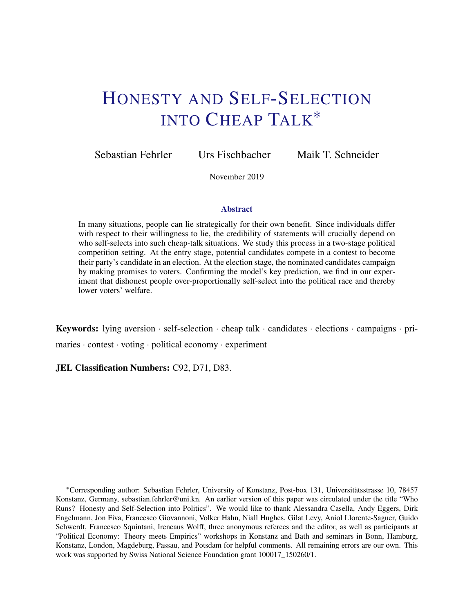# HONESTY AND SELF-SELECTION INTO CHEAP TALK<sup>∗</sup>

Sebastian Fehrler Urs Fischbacher Maik T. Schneider

November 2019

#### Abstract

In many situations, people can lie strategically for their own benefit. Since individuals differ with respect to their willingness to lie, the credibility of statements will crucially depend on who self-selects into such cheap-talk situations. We study this process in a two-stage political competition setting. At the entry stage, potential candidates compete in a contest to become their party's candidate in an election. At the election stage, the nominated candidates campaign by making promises to voters. Confirming the model's key prediction, we find in our experiment that dishonest people over-proportionally self-select into the political race and thereby lower voters' welfare.

**Keywords:** lying aversion  $\cdot$  self-selection  $\cdot$  cheap talk  $\cdot$  candidates  $\cdot$  elections  $\cdot$  campaigns  $\cdot$  primaries · contest · voting · political economy · experiment

JEL Classification Numbers: C92, D71, D83.

<sup>∗</sup>Corresponding author: Sebastian Fehrler, University of Konstanz, Post-box 131, Universitätsstrasse 10, 78457 Konstanz, Germany, sebastian.fehrler@uni.kn. An earlier version of this paper was circulated under the title "Who Runs? Honesty and Self-Selection into Politics". We would like to thank Alessandra Casella, Andy Eggers, Dirk Engelmann, Jon Fiva, Francesco Giovannoni, Volker Hahn, Niall Hughes, Gilat Levy, Aniol Llorente-Saguer, Guido Schwerdt, Francesco Squintani, Ireneaus Wolff, three anonymous referees and the editor, as well as participants at "Political Economy: Theory meets Empirics" workshops in Konstanz and Bath and seminars in Bonn, Hamburg, Konstanz, London, Magdeburg, Passau, and Potsdam for helpful comments. All remaining errors are our own. This work was supported by Swiss National Science Foundation grant  $100017$  150260/1.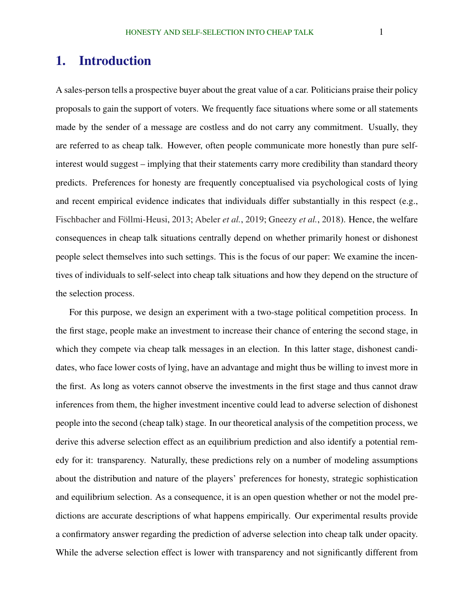## 1. Introduction

A sales-person tells a prospective buyer about the great value of a car. Politicians praise their policy proposals to gain the support of voters. We frequently face situations where some or all statements made by the sender of a message are costless and do not carry any commitment. Usually, they are referred to as cheap talk. However, often people communicate more honestly than pure selfinterest would suggest – implying that their statements carry more credibility than standard theory predicts. Preferences for honesty are frequently conceptualised via psychological costs of lying and recent empirical evidence indicates that individuals differ substantially in this respect (e.g., [Fischbacher and Föllmi-Heusi,](#page-48-0) [2013;](#page-48-0) [Abeler](#page-46-0) *et al.*, [2019;](#page-46-0) [Gneezy](#page-49-0) *et al.*, [2018\)](#page-49-0). Hence, the welfare consequences in cheap talk situations centrally depend on whether primarily honest or dishonest people select themselves into such settings. This is the focus of our paper: We examine the incentives of individuals to self-select into cheap talk situations and how they depend on the structure of the selection process.

For this purpose, we design an experiment with a two-stage political competition process. In the first stage, people make an investment to increase their chance of entering the second stage, in which they compete via cheap talk messages in an election. In this latter stage, dishonest candidates, who face lower costs of lying, have an advantage and might thus be willing to invest more in the first. As long as voters cannot observe the investments in the first stage and thus cannot draw inferences from them, the higher investment incentive could lead to adverse selection of dishonest people into the second (cheap talk) stage. In our theoretical analysis of the competition process, we derive this adverse selection effect as an equilibrium prediction and also identify a potential remedy for it: transparency. Naturally, these predictions rely on a number of modeling assumptions about the distribution and nature of the players' preferences for honesty, strategic sophistication and equilibrium selection. As a consequence, it is an open question whether or not the model predictions are accurate descriptions of what happens empirically. Our experimental results provide a confirmatory answer regarding the prediction of adverse selection into cheap talk under opacity. While the adverse selection effect is lower with transparency and not significantly different from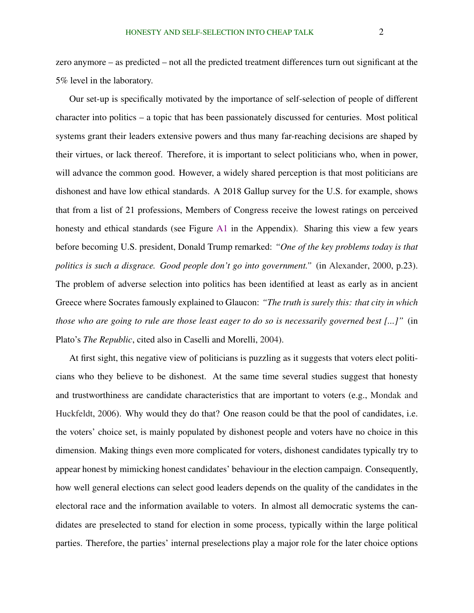zero anymore – as predicted – not all the predicted treatment differences turn out significant at the 5% level in the laboratory.

Our set-up is specifically motivated by the importance of self-selection of people of different character into politics – a topic that has been passionately discussed for centuries. Most political systems grant their leaders extensive powers and thus many far-reaching decisions are shaped by their virtues, or lack thereof. Therefore, it is important to select politicians who, when in power, will advance the common good. However, a widely shared perception is that most politicians are dishonest and have low ethical standards. A 2018 Gallup survey for the U.S. for example, shows that from a list of 21 professions, Members of Congress receive the lowest ratings on perceived honesty and ethical standards (see Figure [A1](#page-22-0) in the Appendix). Sharing this view a few years before becoming U.S. president, Donald Trump remarked: *"One of the key problems today is that politics is such a disgrace. Good people don't go into government."* (in [Alexander,](#page-46-0) [2000,](#page-46-0) p.23). The problem of adverse selection into politics has been identified at least as early as in ancient Greece where Socrates famously explained to Glaucon: *"The truth is surely this: that city in which those who are going to rule are those least eager to do so is necessarily governed best [...]"* (in Plato's *The Republic*, cited also in Caselli and Morelli, [2004\)](#page-47-0).

At first sight, this negative view of politicians is puzzling as it suggests that voters elect politicians who they believe to be dishonest. At the same time several studies suggest that honesty and trustworthiness are candidate characteristics that are important to voters (e.g., [Mondak and](#page-50-0) [Huckfeldt,](#page-50-0) [2006\)](#page-50-0). Why would they do that? One reason could be that the pool of candidates, i.e. the voters' choice set, is mainly populated by dishonest people and voters have no choice in this dimension. Making things even more complicated for voters, dishonest candidates typically try to appear honest by mimicking honest candidates' behaviour in the election campaign. Consequently, how well general elections can select good leaders depends on the quality of the candidates in the electoral race and the information available to voters. In almost all democratic systems the candidates are preselected to stand for election in some process, typically within the large political parties. Therefore, the parties' internal preselections play a major role for the later choice options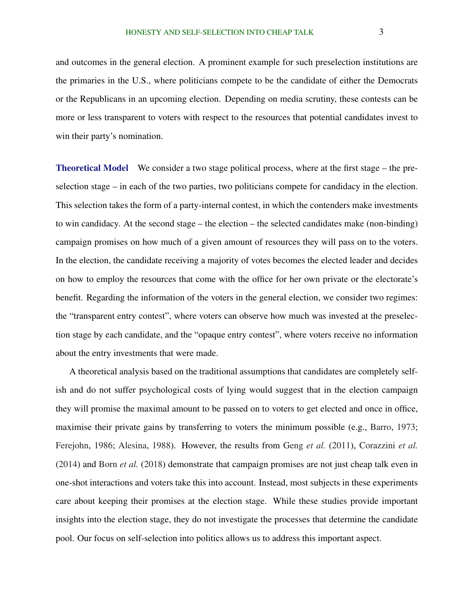and outcomes in the general election. A prominent example for such preselection institutions are the primaries in the U.S., where politicians compete to be the candidate of either the Democrats or the Republicans in an upcoming election. Depending on media scrutiny, these contests can be more or less transparent to voters with respect to the resources that potential candidates invest to win their party's nomination.

Theoretical Model We consider a two stage political process, where at the first stage – the preselection stage – in each of the two parties, two politicians compete for candidacy in the election. This selection takes the form of a party-internal contest, in which the contenders make investments to win candidacy. At the second stage – the election – the selected candidates make (non-binding) campaign promises on how much of a given amount of resources they will pass on to the voters. In the election, the candidate receiving a majority of votes becomes the elected leader and decides on how to employ the resources that come with the office for her own private or the electorate's benefit. Regarding the information of the voters in the general election, we consider two regimes: the "transparent entry contest", where voters can observe how much was invested at the preselection stage by each candidate, and the "opaque entry contest", where voters receive no information about the entry investments that were made.

A theoretical analysis based on the traditional assumptions that candidates are completely selfish and do not suffer psychological costs of lying would suggest that in the election campaign they will promise the maximal amount to be passed on to voters to get elected and once in office, maximise their private gains by transferring to voters the minimum possible (e.g., [Barro,](#page-46-0) [1973;](#page-46-0) [Ferejohn,](#page-48-0) [1986;](#page-48-0) [Alesina,](#page-46-0) [1988\)](#page-46-0). However, the results from [Geng](#page-48-0) *et al.* [\(2011\)](#page-48-0), [Corazzini](#page-47-0) *et al.* [\(2014\)](#page-47-0) and Born *[et al.](#page-46-0)* [\(2018\)](#page-46-0) demonstrate that campaign promises are not just cheap talk even in one-shot interactions and voters take this into account. Instead, most subjects in these experiments care about keeping their promises at the election stage. While these studies provide important insights into the election stage, they do not investigate the processes that determine the candidate pool. Our focus on self-selection into politics allows us to address this important aspect.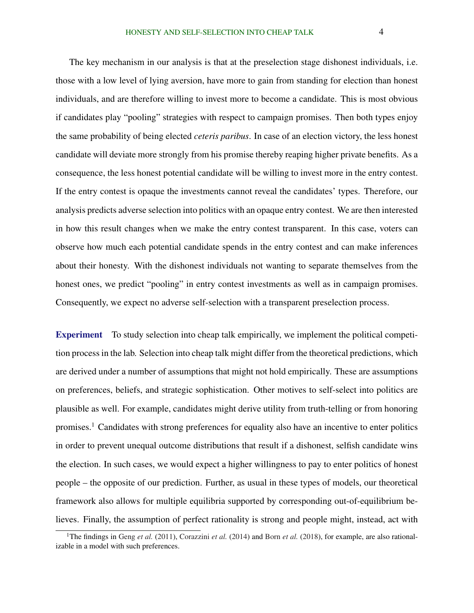The key mechanism in our analysis is that at the preselection stage dishonest individuals, i.e. those with a low level of lying aversion, have more to gain from standing for election than honest individuals, and are therefore willing to invest more to become a candidate. This is most obvious if candidates play "pooling" strategies with respect to campaign promises. Then both types enjoy the same probability of being elected *ceteris paribus*. In case of an election victory, the less honest candidate will deviate more strongly from his promise thereby reaping higher private benefits. As a consequence, the less honest potential candidate will be willing to invest more in the entry contest. If the entry contest is opaque the investments cannot reveal the candidates' types. Therefore, our analysis predicts adverse selection into politics with an opaque entry contest. We are then interested in how this result changes when we make the entry contest transparent. In this case, voters can observe how much each potential candidate spends in the entry contest and can make inferences about their honesty. With the dishonest individuals not wanting to separate themselves from the honest ones, we predict "pooling" in entry contest investments as well as in campaign promises. Consequently, we expect no adverse self-selection with a transparent preselection process.

Experiment To study selection into cheap talk empirically, we implement the political competition process in the lab. Selection into cheap talk might differ from the theoretical predictions, which are derived under a number of assumptions that might not hold empirically. These are assumptions on preferences, beliefs, and strategic sophistication. Other motives to self-select into politics are plausible as well. For example, candidates might derive utility from truth-telling or from honoring promises.<sup>1</sup> Candidates with strong preferences for equality also have an incentive to enter politics in order to prevent unequal outcome distributions that result if a dishonest, selfish candidate wins the election. In such cases, we would expect a higher willingness to pay to enter politics of honest people – the opposite of our prediction. Further, as usual in these types of models, our theoretical framework also allows for multiple equilibria supported by corresponding out-of-equilibrium believes. Finally, the assumption of perfect rationality is strong and people might, instead, act with

<sup>&</sup>lt;sup>1</sup>The findings in [Geng](#page-48-0) *[et al.](#page-46-0)* [\(2011\)](#page-48-0), [Corazzini](#page-47-0) *et al.* [\(2014\)](#page-47-0) and Born *et al.* [\(2018\)](#page-46-0), for example, are also rationalizable in a model with such preferences.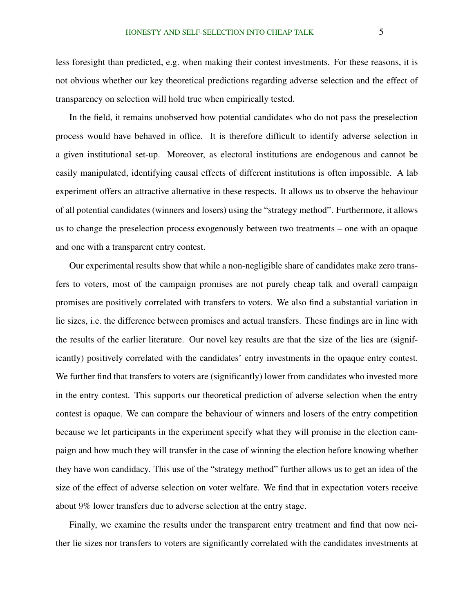less foresight than predicted, e.g. when making their contest investments. For these reasons, it is not obvious whether our key theoretical predictions regarding adverse selection and the effect of transparency on selection will hold true when empirically tested.

In the field, it remains unobserved how potential candidates who do not pass the preselection process would have behaved in office. It is therefore difficult to identify adverse selection in a given institutional set-up. Moreover, as electoral institutions are endogenous and cannot be easily manipulated, identifying causal effects of different institutions is often impossible. A lab experiment offers an attractive alternative in these respects. It allows us to observe the behaviour of all potential candidates (winners and losers) using the "strategy method". Furthermore, it allows us to change the preselection process exogenously between two treatments – one with an opaque and one with a transparent entry contest.

Our experimental results show that while a non-negligible share of candidates make zero transfers to voters, most of the campaign promises are not purely cheap talk and overall campaign promises are positively correlated with transfers to voters. We also find a substantial variation in lie sizes, i.e. the difference between promises and actual transfers. These findings are in line with the results of the earlier literature. Our novel key results are that the size of the lies are (significantly) positively correlated with the candidates' entry investments in the opaque entry contest. We further find that transfers to voters are (significantly) lower from candidates who invested more in the entry contest. This supports our theoretical prediction of adverse selection when the entry contest is opaque. We can compare the behaviour of winners and losers of the entry competition because we let participants in the experiment specify what they will promise in the election campaign and how much they will transfer in the case of winning the election before knowing whether they have won candidacy. This use of the "strategy method" further allows us to get an idea of the size of the effect of adverse selection on voter welfare. We find that in expectation voters receive about 9% lower transfers due to adverse selection at the entry stage.

Finally, we examine the results under the transparent entry treatment and find that now neither lie sizes nor transfers to voters are significantly correlated with the candidates investments at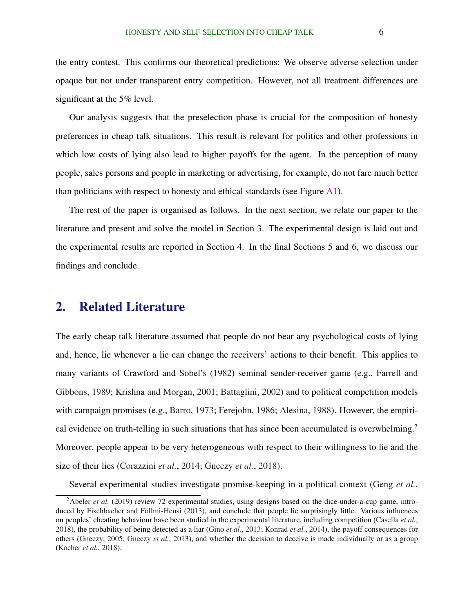the entry contest. This confirms our theoretical predictions: We observe adverse selection under opaque but not under transparent entry competition. However, not all treatment differences are significant at the 5% level.

Our analysis suggests that the preselection phase is crucial for the composition of honesty preferences in cheap talk situations. This result is relevant for politics and other professions in which low costs of lying also lead to higher payoffs for the agent. In the perception of many people, sales persons and people in marketing or advertising, for example, do not fare much better than politicians with respect to honesty and ethical standards (see Figure [A1\)](#page-22-0).

The rest of the paper is organised as follows. In the next section, we relate our paper to the literature and present and solve the model in Section 3. The experimental design is laid out and the experimental results are reported in Section 4. In the final Sections 5 and 6, we discuss our findings and conclude.

## 2. Related Literature

The early cheap talk literature assumed that people do not bear any psychological costs of lying and, hence, lie whenever a lie can change the receivers' actions to their benefit. This applies to many variants of Crawford and Sobel's [\(1982\)](#page-47-0) seminal sender-receiver game (e.g., [Farrell and](#page-48-0) [Gibbons,](#page-48-0) [1989;](#page-48-0) [Krishna and Morgan,](#page-49-0) [2001;](#page-49-0) [Battaglini,](#page-46-0) [2002\)](#page-46-0) and to political competition models with campaign promises (e.g., [Barro,](#page-46-0) [1973;](#page-46-0) [Ferejohn,](#page-48-0) [1986;](#page-48-0) [Alesina,](#page-46-0) [1988\)](#page-46-0). However, the empirical evidence on truth-telling in such situations that has since been accumulated is overwhelming.<sup>2</sup> Moreover, people appear to be very heterogeneous with respect to their willingness to lie and the size of their lies [\(Corazzini](#page-47-0) *et al.*, [2014;](#page-47-0) [Gneezy](#page-49-0) *et al.*, [2018\)](#page-49-0).

Several experimental studies investigate promise-keeping in a political context [\(Geng](#page-48-0) *et al.*,

<sup>&</sup>lt;sup>2</sup>[Abeler](#page-46-0) *et al.* [\(2019\)](#page-46-0) review 72 experimental studies, using designs based on the dice-under-a-cup game, introduced by [Fischbacher and Föllmi-Heusi](#page-48-0) [\(2013\)](#page-48-0), and conclude that people lie surprisingly little. Various influences on peoples' cheating behaviour have been studied in the experimental literature, including competition [\(Casella](#page-47-0) *et al.*, [2018\)](#page-47-0), the probability of being detected as a liar [\(Gino](#page-48-0) *et al.*, [2013;](#page-48-0) [Konrad](#page-49-0) *et al.*, [2014\)](#page-49-0), the payoff consequences for others [\(Gneezy,](#page-48-0) [2005;](#page-48-0) [Gneezy](#page-49-0) *et al.*, [2013\)](#page-49-0), and whether the decision to deceive is made individually or as a group [\(Kocher](#page-49-0) *et al.*, [2018\)](#page-49-0).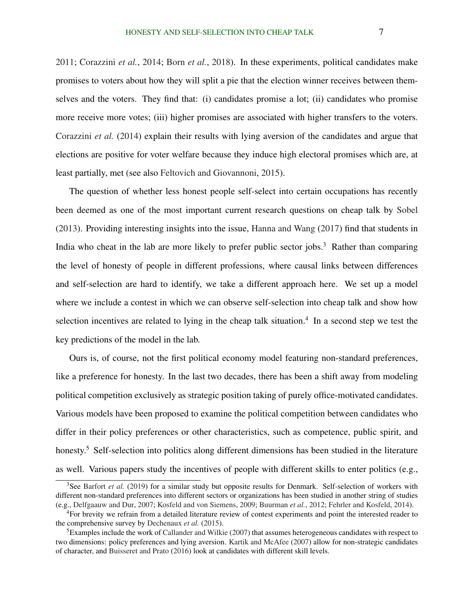[2011;](#page-48-0) [Corazzini](#page-47-0) *et al.*, [2014;](#page-47-0) Born *[et al.](#page-46-0)*, [2018\)](#page-46-0). In these experiments, political candidates make promises to voters about how they will split a pie that the election winner receives between themselves and the voters. They find that: (i) candidates promise a lot; (ii) candidates who promise more receive more votes; (iii) higher promises are associated with higher transfers to the voters. [Corazzini](#page-47-0) *et al.* [\(2014\)](#page-47-0) explain their results with lying aversion of the candidates and argue that elections are positive for voter welfare because they induce high electoral promises which are, at least partially, met (see also [Feltovich and Giovannoni,](#page-48-0) [2015\)](#page-48-0).

The question of whether less honest people self-select into certain occupations has recently been deemed as one of the most important current research questions on cheap talk by [Sobel](#page-50-0) [\(2013\)](#page-50-0). Providing interesting insights into the issue, [Hanna and Wang](#page-49-0) [\(2017\)](#page-49-0) find that students in India who cheat in the lab are more likely to prefer public sector jobs.<sup>3</sup> Rather than comparing the level of honesty of people in different professions, where causal links between differences and self-selection are hard to identify, we take a different approach here. We set up a model where we include a contest in which we can observe self-selection into cheap talk and show how selection incentives are related to lying in the cheap talk situation.<sup>4</sup> In a second step we test the key predictions of the model in the lab.

Ours is, of course, not the first political economy model featuring non-standard preferences, like a preference for honesty. In the last two decades, there has been a shift away from modeling political competition exclusively as strategic position taking of purely office-motivated candidates. Various models have been proposed to examine the political competition between candidates who differ in their policy preferences or other characteristics, such as competence, public spirit, and honesty.<sup>5</sup> Self-selection into politics along different dimensions has been studied in the literature as well. Various papers study the incentives of people with different skills to enter politics (e.g.,

<sup>&</sup>lt;sup>3</sup>See [Barfort](#page-46-0) *et al.* [\(2019\)](#page-46-0) for a similar study but opposite results for Denmark. Self-selection of workers with different non-standard preferences into different sectors or organizations has been studied in another string of studies (e.g., [Delfgaauw and Dur,](#page-47-0) [2007;](#page-47-0) [Kosfeld and von Siemens,](#page-49-0) [2009;](#page-49-0) [Buurman](#page-47-0) *et al.*, [2012;](#page-47-0) [Fehrler and Kosfeld,](#page-48-0) [2014\)](#page-48-0).

<sup>&</sup>lt;sup>4</sup>For brevity we refrain from a detailed literature review of contest experiments and point the interested reader to the comprehensive survey by [Dechenaux](#page-47-0) *et al.* [\(2015\)](#page-47-0).

 ${}^{5}$ Examples include the work of [Callander and Wilkie](#page-47-0) [\(2007\)](#page-47-0) that assumes heterogeneous candidates with respect to two dimensions: policy preferences and lying aversion. [Kartik and McAfee](#page-49-0) [\(2007\)](#page-49-0) allow for non-strategic candidates of character, and [Buisseret and Prato](#page-46-0) [\(2016\)](#page-46-0) look at candidates with different skill levels.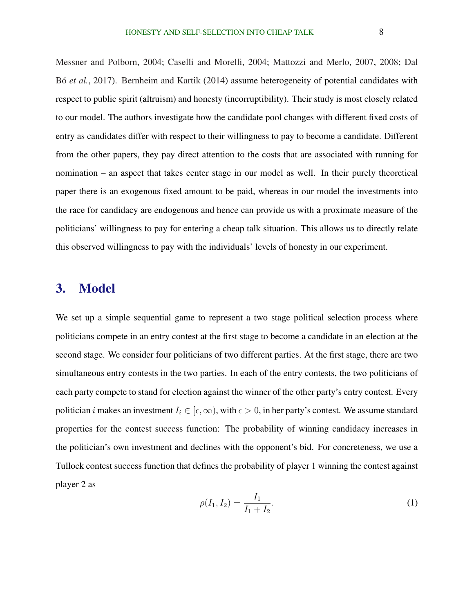[Messner and Polborn,](#page-50-0) [2004;](#page-50-0) [Caselli and Morelli,](#page-47-0) [2004;](#page-47-0) [Mattozzi and Merlo,](#page-49-0) [2007,](#page-49-0) [2008;](#page-50-0) [Dal](#page-47-0) Bó *[et al.](#page-47-0)*, [2017\)](#page-47-0). [Bernheim and Kartik](#page-46-0) [\(2014\)](#page-46-0) assume heterogeneity of potential candidates with respect to public spirit (altruism) and honesty (incorruptibility). Their study is most closely related to our model. The authors investigate how the candidate pool changes with different fixed costs of entry as candidates differ with respect to their willingness to pay to become a candidate. Different from the other papers, they pay direct attention to the costs that are associated with running for nomination – an aspect that takes center stage in our model as well. In their purely theoretical paper there is an exogenous fixed amount to be paid, whereas in our model the investments into the race for candidacy are endogenous and hence can provide us with a proximate measure of the politicians' willingness to pay for entering a cheap talk situation. This allows us to directly relate this observed willingness to pay with the individuals' levels of honesty in our experiment.

### 3. Model

We set up a simple sequential game to represent a two stage political selection process where politicians compete in an entry contest at the first stage to become a candidate in an election at the second stage. We consider four politicians of two different parties. At the first stage, there are two simultaneous entry contests in the two parties. In each of the entry contests, the two politicians of each party compete to stand for election against the winner of the other party's entry contest. Every politician i makes an investment  $I_i \in [\epsilon, \infty)$ , with  $\epsilon > 0$ , in her party's contest. We assume standard properties for the contest success function: The probability of winning candidacy increases in the politician's own investment and declines with the opponent's bid. For concreteness, we use a Tullock contest success function that defines the probability of player 1 winning the contest against player 2 as

$$
\rho(I_1, I_2) = \frac{I_1}{I_1 + I_2}.\tag{1}
$$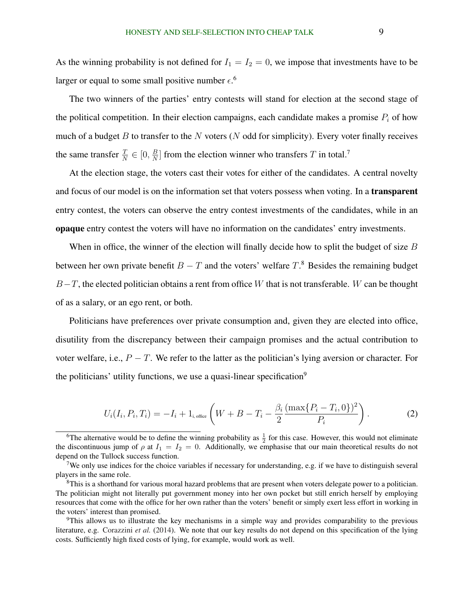As the winning probability is not defined for  $I_1 = I_2 = 0$ , we impose that investments have to be larger or equal to some small positive number  $\epsilon$ .

The two winners of the parties' entry contests will stand for election at the second stage of the political competition. In their election campaigns, each candidate makes a promise  $P_i$  of how much of a budget  $B$  to transfer to the  $N$  voters ( $N$  odd for simplicity). Every voter finally receives the same transfer  $\frac{T}{N} \in [0, \frac{B}{N}]$  $\frac{B}{N}$ ] from the election winner who transfers T in total.<sup>7</sup>

At the election stage, the voters cast their votes for either of the candidates. A central novelty and focus of our model is on the information set that voters possess when voting. In a transparent entry contest, the voters can observe the entry contest investments of the candidates, while in an opaque entry contest the voters will have no information on the candidates' entry investments.

When in office, the winner of the election will finally decide how to split the budget of size  $B$ between her own private benefit  $B - T$  and the voters' welfare  $T$ .<sup>8</sup> Besides the remaining budget  $B-T$ , the elected politician obtains a rent from office W that is not transferable. W can be thought of as a salary, or an ego rent, or both.

Politicians have preferences over private consumption and, given they are elected into office, disutility from the discrepancy between their campaign promises and the actual contribution to voter welfare, i.e.,  $P - T$ . We refer to the latter as the politician's lying aversion or character. For the politicians' utility functions, we use a quasi-linear specification $\delta$ 

$$
U_i(I_i, P_i, T_i) = -I_i + 1_{i, \text{ office}} \left( W + B - T_i - \frac{\beta_i \left( \max\{P_i - T_i, 0\}\right)^2}{P_i} \right). \tag{2}
$$

<sup>&</sup>lt;sup>6</sup>The alternative would be to define the winning probability as  $\frac{1}{2}$  for this case. However, this would not eliminate the discontinuous jump of  $\rho$  at  $I_1 = I_2 = 0$ . Additionally, we emphasise that our main theoretical results do not depend on the Tullock success function.

<sup>&</sup>lt;sup>7</sup>We only use indices for the choice variables if necessary for understanding, e.g. if we have to distinguish several players in the same role.

<sup>&</sup>lt;sup>8</sup>This is a shorthand for various moral hazard problems that are present when voters delegate power to a politician. The politician might not literally put government money into her own pocket but still enrich herself by employing resources that come with the office for her own rather than the voters' benefit or simply exert less effort in working in the voters' interest than promised.

<sup>&</sup>lt;sup>9</sup>This allows us to illustrate the key mechanisms in a simple way and provides comparability to the previous literature, e.g. [Corazzini](#page-47-0) *et al.* [\(2014\)](#page-47-0). We note that our key results do not depend on this specification of the lying costs. Sufficiently high fixed costs of lying, for example, would work as well.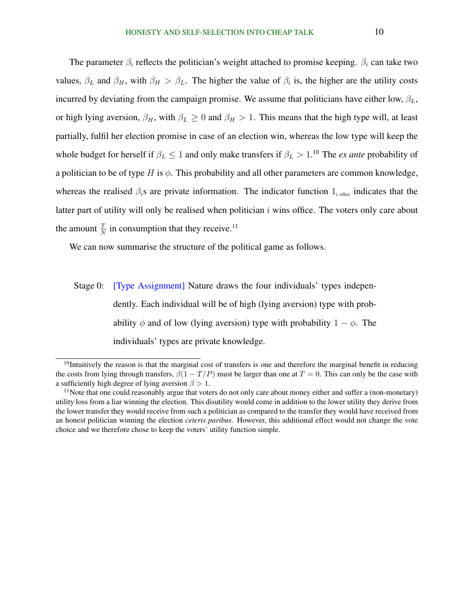The parameter  $\beta_i$  reflects the politician's weight attached to promise keeping.  $\beta_i$  can take two values,  $\beta_L$  and  $\beta_H$ , with  $\beta_H > \beta_L$ . The higher the value of  $\beta_i$  is, the higher are the utility costs incurred by deviating from the campaign promise. We assume that politicians have either low,  $\beta_L$ , or high lying aversion,  $\beta_H$ , with  $\beta_L \geq 0$  and  $\beta_H > 1$ . This means that the high type will, at least partially, fulfil her election promise in case of an election win, whereas the low type will keep the whole budget for herself if  $\beta_L \leq 1$  and only make transfers if  $\beta_L > 1$ .<sup>10</sup> The *ex ante* probability of a politician to be of type H is  $\phi$ . This probability and all other parameters are common knowledge, whereas the realised  $\beta_i$ s are private information. The indicator function  $1_{i,\text{office}}$  indicates that the latter part of utility will only be realised when politician  $i$  wins office. The voters only care about the amount  $\frac{T}{N}$  in consumption that they receive.<sup>11</sup>

We can now summarise the structure of the political game as follows.

Stage 0: [Type Assignment] Nature draws the four individuals' types independently. Each individual will be of high (lying aversion) type with probability  $\phi$  and of low (lying aversion) type with probability  $1 - \phi$ . The individuals' types are private knowledge.

 $10$ Intuitively the reason is that the marginal cost of transfers is one and therefore the marginal benefit in reducing the costs from lying through transfers,  $\beta(1 - T/P)$  must be larger than one at  $T = 0$ . This can only be the case with a sufficiently high degree of lying aversion  $\beta > 1$ .

<sup>&</sup>lt;sup>11</sup>Note that one could reasonably argue that voters do not only care about money either and suffer a (non-monetary) utility loss from a liar winning the election. This disutility would come in addition to the lower utility they derive from the lower transfer they would receive from such a politician as compared to the transfer they would have received from an honest politician winning the election *ceteris paribus*. However, this additional effect would not change the vote choice and we therefore chose to keep the voters' utility function simple.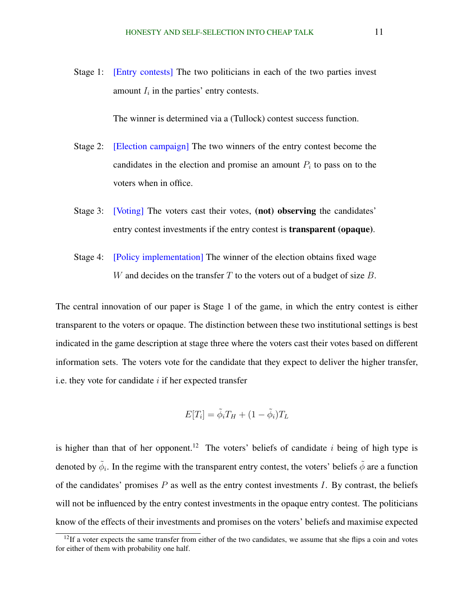Stage 1: [Entry contests] The two politicians in each of the two parties invest amount  $I_i$  in the parties' entry contests.

The winner is determined via a (Tullock) contest success function.

- Stage 2: [Election campaign] The two winners of the entry contest become the candidates in the election and promise an amount  $P_i$  to pass on to the voters when in office.
- Stage 3: [Voting] The voters cast their votes, (not) observing the candidates' entry contest investments if the entry contest is transparent (opaque).
- Stage 4: [Policy implementation] The winner of the election obtains fixed wage W and decides on the transfer  $T$  to the voters out of a budget of size  $B$ .

The central innovation of our paper is Stage 1 of the game, in which the entry contest is either transparent to the voters or opaque. The distinction between these two institutional settings is best indicated in the game description at stage three where the voters cast their votes based on different information sets. The voters vote for the candidate that they expect to deliver the higher transfer, i.e. they vote for candidate  $i$  if her expected transfer

$$
E[T_i] = \tilde{\phi}_i T_H + (1 - \tilde{\phi}_i) T_L
$$

is higher than that of her opponent.<sup>12</sup> The voters' beliefs of candidate i being of high type is denoted by  $\tilde{\phi}_i$ . In the regime with the transparent entry contest, the voters' beliefs  $\tilde{\phi}$  are a function of the candidates' promises  $P$  as well as the entry contest investments  $I$ . By contrast, the beliefs will not be influenced by the entry contest investments in the opaque entry contest. The politicians know of the effects of their investments and promises on the voters' beliefs and maximise expected

 $12$ If a voter expects the same transfer from either of the two candidates, we assume that she flips a coin and votes for either of them with probability one half.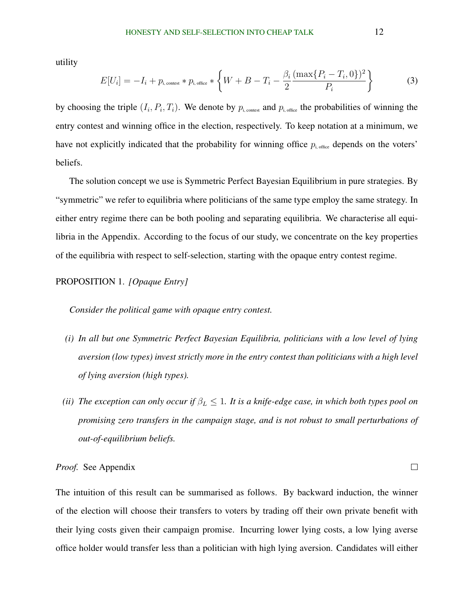<span id="page-12-0"></span>utility

$$
E[U_i] = -I_i + p_{i,\text{ contest}} * p_{i,\text{offset}} * \left\{ W + B - T_i - \frac{\beta_i}{2} \frac{(\max\{P_i - T_i, 0\})^2}{P_i} \right\}
$$
(3)

by choosing the triple  $(I_i, P_i, T_i)$ . We denote by  $p_{i, \text{context}}$  and  $p_{i, \text{offset}}$  the probabilities of winning the entry contest and winning office in the election, respectively. To keep notation at a minimum, we have not explicitly indicated that the probability for winning office  $p_{i, \text{office}}$  depends on the voters' beliefs.

The solution concept we use is Symmetric Perfect Bayesian Equilibrium in pure strategies. By "symmetric" we refer to equilibria where politicians of the same type employ the same strategy. In either entry regime there can be both pooling and separating equilibria. We characterise all equilibria in the Appendix. According to the focus of our study, we concentrate on the key properties of the equilibria with respect to self-selection, starting with the opaque entry contest regime.

#### PROPOSITION 1. *[Opaque Entry]*

*Consider the political game with opaque entry contest.*

- *(i) In all but one Symmetric Perfect Bayesian Equilibria, politicians with a low level of lying aversion (low types) invest strictly more in the entry contest than politicians with a high level of lying aversion (high types).*
- *(ii) The exception can only occur if*  $\beta_L \leq 1$ *. It is a knife-edge case, in which both types pool on promising zero transfers in the campaign stage, and is not robust to small perturbations of out-of-equilibrium beliefs.*

#### *Proof.* See Appendix

The intuition of this result can be summarised as follows. By backward induction, the winner of the election will choose their transfers to voters by trading off their own private benefit with their lying costs given their campaign promise. Incurring lower lying costs, a low lying averse office holder would transfer less than a politician with high lying aversion. Candidates will either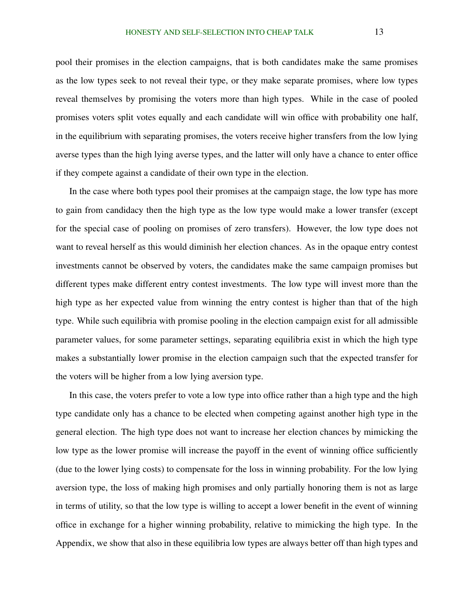pool their promises in the election campaigns, that is both candidates make the same promises as the low types seek to not reveal their type, or they make separate promises, where low types reveal themselves by promising the voters more than high types. While in the case of pooled promises voters split votes equally and each candidate will win office with probability one half, in the equilibrium with separating promises, the voters receive higher transfers from the low lying averse types than the high lying averse types, and the latter will only have a chance to enter office if they compete against a candidate of their own type in the election.

In the case where both types pool their promises at the campaign stage, the low type has more to gain from candidacy then the high type as the low type would make a lower transfer (except for the special case of pooling on promises of zero transfers). However, the low type does not want to reveal herself as this would diminish her election chances. As in the opaque entry contest investments cannot be observed by voters, the candidates make the same campaign promises but different types make different entry contest investments. The low type will invest more than the high type as her expected value from winning the entry contest is higher than that of the high type. While such equilibria with promise pooling in the election campaign exist for all admissible parameter values, for some parameter settings, separating equilibria exist in which the high type makes a substantially lower promise in the election campaign such that the expected transfer for the voters will be higher from a low lying aversion type.

In this case, the voters prefer to vote a low type into office rather than a high type and the high type candidate only has a chance to be elected when competing against another high type in the general election. The high type does not want to increase her election chances by mimicking the low type as the lower promise will increase the payoff in the event of winning office sufficiently (due to the lower lying costs) to compensate for the loss in winning probability. For the low lying aversion type, the loss of making high promises and only partially honoring them is not as large in terms of utility, so that the low type is willing to accept a lower benefit in the event of winning office in exchange for a higher winning probability, relative to mimicking the high type. In the Appendix, we show that also in these equilibria low types are always better off than high types and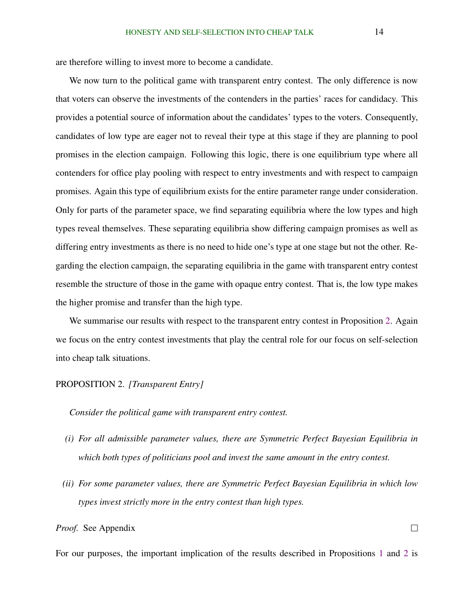$\Box$ 

<span id="page-14-0"></span>are therefore willing to invest more to become a candidate.

We now turn to the political game with transparent entry contest. The only difference is now that voters can observe the investments of the contenders in the parties' races for candidacy. This provides a potential source of information about the candidates' types to the voters. Consequently, candidates of low type are eager not to reveal their type at this stage if they are planning to pool promises in the election campaign. Following this logic, there is one equilibrium type where all contenders for office play pooling with respect to entry investments and with respect to campaign promises. Again this type of equilibrium exists for the entire parameter range under consideration. Only for parts of the parameter space, we find separating equilibria where the low types and high types reveal themselves. These separating equilibria show differing campaign promises as well as differing entry investments as there is no need to hide one's type at one stage but not the other. Regarding the election campaign, the separating equilibria in the game with transparent entry contest resemble the structure of those in the game with opaque entry contest. That is, the low type makes the higher promise and transfer than the high type.

We summarise our results with respect to the transparent entry contest in Proposition 2. Again we focus on the entry contest investments that play the central role for our focus on self-selection into cheap talk situations.

#### PROPOSITION 2. *[Transparent Entry]*

*Consider the political game with transparent entry contest.*

- *(i) For all admissible parameter values, there are Symmetric Perfect Bayesian Equilibria in which both types of politicians pool and invest the same amount in the entry contest.*
- *(ii) For some parameter values, there are Symmetric Perfect Bayesian Equilibria in which low types invest strictly more in the entry contest than high types.*

#### *Proof.* See Appendix

For our purposes, the important implication of the results described in Propositions [1](#page-12-0) and 2 is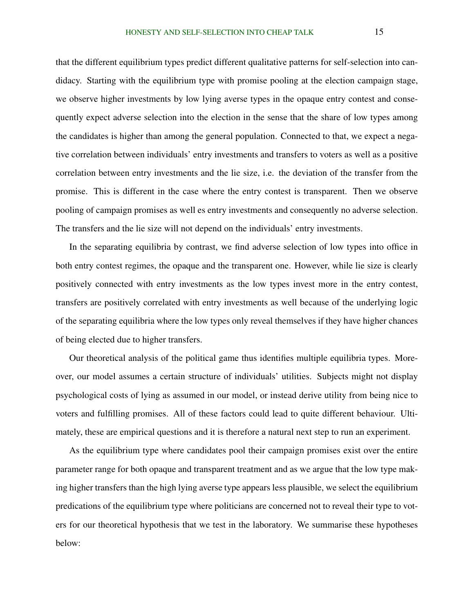that the different equilibrium types predict different qualitative patterns for self-selection into candidacy. Starting with the equilibrium type with promise pooling at the election campaign stage, we observe higher investments by low lying averse types in the opaque entry contest and consequently expect adverse selection into the election in the sense that the share of low types among the candidates is higher than among the general population. Connected to that, we expect a negative correlation between individuals' entry investments and transfers to voters as well as a positive correlation between entry investments and the lie size, i.e. the deviation of the transfer from the promise. This is different in the case where the entry contest is transparent. Then we observe pooling of campaign promises as well es entry investments and consequently no adverse selection. The transfers and the lie size will not depend on the individuals' entry investments.

In the separating equilibria by contrast, we find adverse selection of low types into office in both entry contest regimes, the opaque and the transparent one. However, while lie size is clearly positively connected with entry investments as the low types invest more in the entry contest, transfers are positively correlated with entry investments as well because of the underlying logic of the separating equilibria where the low types only reveal themselves if they have higher chances of being elected due to higher transfers.

Our theoretical analysis of the political game thus identifies multiple equilibria types. Moreover, our model assumes a certain structure of individuals' utilities. Subjects might not display psychological costs of lying as assumed in our model, or instead derive utility from being nice to voters and fulfilling promises. All of these factors could lead to quite different behaviour. Ultimately, these are empirical questions and it is therefore a natural next step to run an experiment.

As the equilibrium type where candidates pool their campaign promises exist over the entire parameter range for both opaque and transparent treatment and as we argue that the low type making higher transfers than the high lying averse type appears less plausible, we select the equilibrium predications of the equilibrium type where politicians are concerned not to reveal their type to voters for our theoretical hypothesis that we test in the laboratory. We summarise these hypotheses below: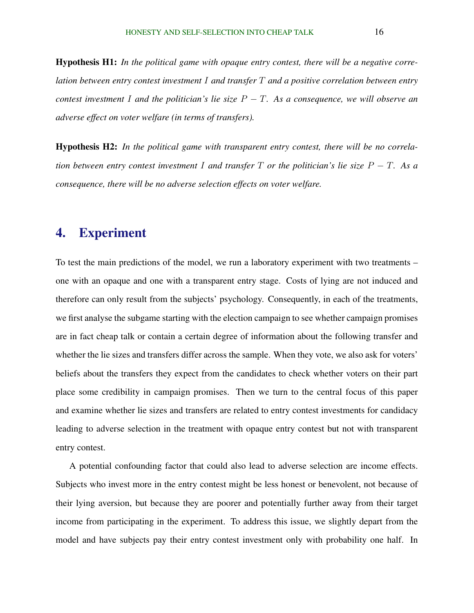Hypothesis H1: *In the political game with opaque entry contest, there will be a negative correlation between entry contest investment* I *and transfer* T *and a positive correlation between entry contest investment* I *and the politician's lie size* P − T*. As a consequence, we will observe an adverse effect on voter welfare (in terms of transfers).*

Hypothesis H2: *In the political game with transparent entry contest, there will be no correlation between entry contest investment* I *and transfer* T *or the politician's lie size* P − T*. As a consequence, there will be no adverse selection effects on voter welfare.*

## 4. Experiment

To test the main predictions of the model, we run a laboratory experiment with two treatments – one with an opaque and one with a transparent entry stage. Costs of lying are not induced and therefore can only result from the subjects' psychology. Consequently, in each of the treatments, we first analyse the subgame starting with the election campaign to see whether campaign promises are in fact cheap talk or contain a certain degree of information about the following transfer and whether the lie sizes and transfers differ across the sample. When they vote, we also ask for voters' beliefs about the transfers they expect from the candidates to check whether voters on their part place some credibility in campaign promises. Then we turn to the central focus of this paper and examine whether lie sizes and transfers are related to entry contest investments for candidacy leading to adverse selection in the treatment with opaque entry contest but not with transparent entry contest.

A potential confounding factor that could also lead to adverse selection are income effects. Subjects who invest more in the entry contest might be less honest or benevolent, not because of their lying aversion, but because they are poorer and potentially further away from their target income from participating in the experiment. To address this issue, we slightly depart from the model and have subjects pay their entry contest investment only with probability one half. In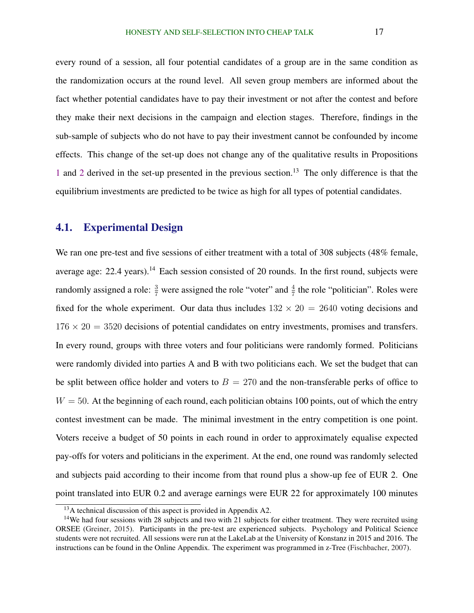every round of a session, all four potential candidates of a group are in the same condition as the randomization occurs at the round level. All seven group members are informed about the fact whether potential candidates have to pay their investment or not after the contest and before they make their next decisions in the campaign and election stages. Therefore, findings in the sub-sample of subjects who do not have to pay their investment cannot be confounded by income effects. This change of the set-up does not change any of the qualitative results in Propositions [1](#page-12-0) and [2](#page-14-0) derived in the set-up presented in the previous section.<sup>13</sup> The only difference is that the equilibrium investments are predicted to be twice as high for all types of potential candidates.

#### 4.1. Experimental Design

We ran one pre-test and five sessions of either treatment with a total of 308 subjects (48% female, average age:  $22.4$  years).<sup>14</sup> Each session consisted of 20 rounds. In the first round, subjects were randomly assigned a role:  $\frac{3}{7}$  were assigned the role "voter" and  $\frac{4}{7}$  the role "politician". Roles were fixed for the whole experiment. Our data thus includes  $132 \times 20 = 2640$  voting decisions and  $176 \times 20 = 3520$  decisions of potential candidates on entry investments, promises and transfers. In every round, groups with three voters and four politicians were randomly formed. Politicians were randomly divided into parties A and B with two politicians each. We set the budget that can be split between office holder and voters to  $B = 270$  and the non-transferable perks of office to  $W = 50$ . At the beginning of each round, each politician obtains 100 points, out of which the entry contest investment can be made. The minimal investment in the entry competition is one point. Voters receive a budget of 50 points in each round in order to approximately equalise expected pay-offs for voters and politicians in the experiment. At the end, one round was randomly selected and subjects paid according to their income from that round plus a show-up fee of EUR 2. One point translated into EUR 0.2 and average earnings were EUR 22 for approximately 100 minutes

<sup>&</sup>lt;sup>13</sup>A technical discussion of this aspect is provided in Appendix A2.

<sup>&</sup>lt;sup>14</sup>We had four sessions with 28 subjects and two with 21 subjects for either treatment. They were recruited using ORSEE [\(Greiner,](#page-49-0) [2015\)](#page-49-0). Participants in the pre-test are experienced subjects. Psychology and Political Science students were not recruited. All sessions were run at the LakeLab at the University of Konstanz in 2015 and 2016. The instructions can be found in the Online Appendix. The experiment was programmed in z-Tree [\(Fischbacher,](#page-48-0) [2007\)](#page-48-0).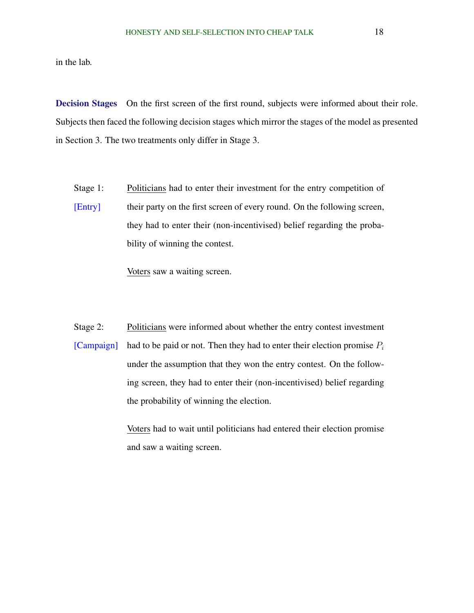in the lab.

Decision Stages On the first screen of the first round, subjects were informed about their role. Subjects then faced the following decision stages which mirror the stages of the model as presented in Section 3. The two treatments only differ in Stage 3.

Stage 1: [Entry] Politicians had to enter their investment for the entry competition of their party on the first screen of every round. On the following screen, they had to enter their (non-incentivised) belief regarding the probability of winning the contest.

Voters saw a waiting screen.

Stage 2: [Campaign] Politicians were informed about whether the entry contest investment had to be paid or not. Then they had to enter their election promise  $P_i$ under the assumption that they won the entry contest. On the following screen, they had to enter their (non-incentivised) belief regarding the probability of winning the election.

> Voters had to wait until politicians had entered their election promise and saw a waiting screen.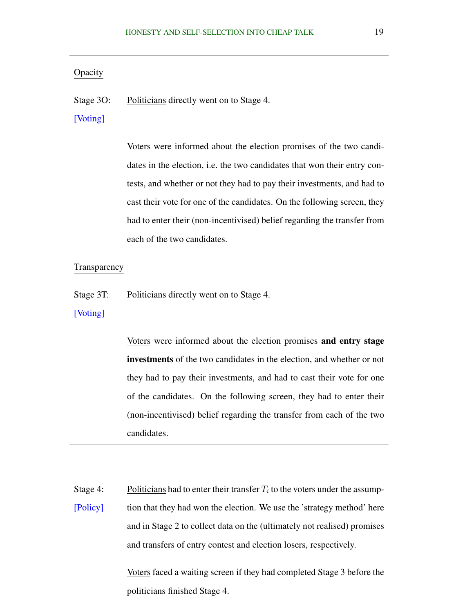#### **Opacity**

Stage 3O: Politicians directly went on to Stage 4.

#### [Voting]

Voters were informed about the election promises of the two candidates in the election, i.e. the two candidates that won their entry contests, and whether or not they had to pay their investments, and had to cast their vote for one of the candidates. On the following screen, they had to enter their (non-incentivised) belief regarding the transfer from each of the two candidates.

#### Transparency

Stage 3T: Politicians directly went on to Stage 4.

#### [Voting]

Voters were informed about the election promises and entry stage investments of the two candidates in the election, and whether or not they had to pay their investments, and had to cast their vote for one of the candidates. On the following screen, they had to enter their (non-incentivised) belief regarding the transfer from each of the two candidates.

Stage 4: [Policy] Politicians had to enter their transfer  $T_i$  to the voters under the assumption that they had won the election. We use the 'strategy method' here and in Stage 2 to collect data on the (ultimately not realised) promises and transfers of entry contest and election losers, respectively.

> Voters faced a waiting screen if they had completed Stage 3 before the politicians finished Stage 4.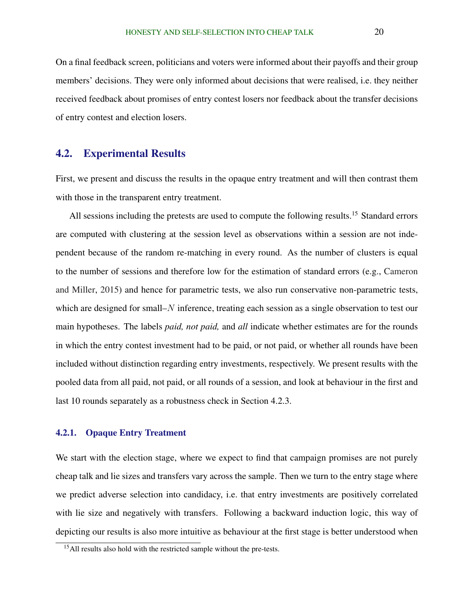On a final feedback screen, politicians and voters were informed about their payoffs and their group members' decisions. They were only informed about decisions that were realised, i.e. they neither received feedback about promises of entry contest losers nor feedback about the transfer decisions of entry contest and election losers.

#### 4.2. Experimental Results

First, we present and discuss the results in the opaque entry treatment and will then contrast them with those in the transparent entry treatment.

All sessions including the pretests are used to compute the following results.<sup>15</sup> Standard errors are computed with clustering at the session level as observations within a session are not independent because of the random re-matching in every round. As the number of clusters is equal to the number of sessions and therefore low for the estimation of standard errors (e.g., [Cameron](#page-47-0) [and Miller,](#page-47-0) [2015\)](#page-47-0) and hence for parametric tests, we also run conservative non-parametric tests, which are designed for small– $N$  inference, treating each session as a single observation to test our main hypotheses. The labels *paid, not paid,* and *all* indicate whether estimates are for the rounds in which the entry contest investment had to be paid, or not paid, or whether all rounds have been included without distinction regarding entry investments, respectively. We present results with the pooled data from all paid, not paid, or all rounds of a session, and look at behaviour in the first and last 10 rounds separately as a robustness check in Section 4.2.3.

#### 4.2.1. Opaque Entry Treatment

We start with the election stage, where we expect to find that campaign promises are not purely cheap talk and lie sizes and transfers vary across the sample. Then we turn to the entry stage where we predict adverse selection into candidacy, i.e. that entry investments are positively correlated with lie size and negatively with transfers. Following a backward induction logic, this way of depicting our results is also more intuitive as behaviour at the first stage is better understood when

<sup>&</sup>lt;sup>15</sup>All results also hold with the restricted sample without the pre-tests.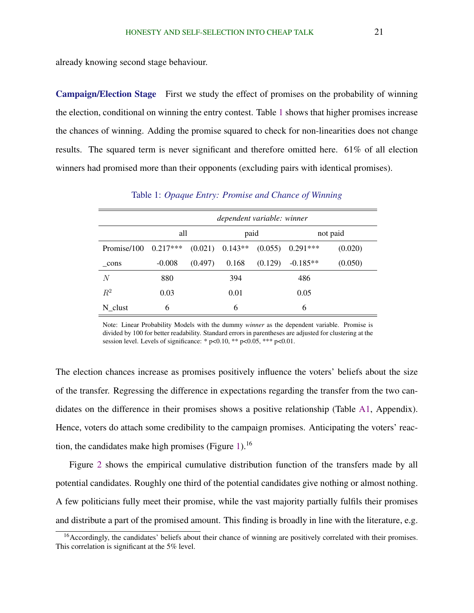already knowing second stage behaviour.

Campaign/Election Stage First we study the effect of promises on the probability of winning the election, conditional on winning the entry contest. Table 1 shows that higher promises increase the chances of winning. Adding the promise squared to check for non-linearities does not change results. The squared term is never significant and therefore omitted here. 61% of all election winners had promised more than their opponents (excluding pairs with identical promises).

|             | dependent variable: winner |         |                   |         |                      |         |  |  |
|-------------|----------------------------|---------|-------------------|---------|----------------------|---------|--|--|
|             | all                        |         | paid              |         | not paid             |         |  |  |
| Promise/100 | $0.217***$                 |         | $(0.021)$ 0.143** |         | $(0.055)$ $0.291***$ | (0.020) |  |  |
| cons        | $-0.008$                   | (0.497) | 0.168             | (0.129) | $-0.185**$           | (0.050) |  |  |
| N           | 880                        |         | 394               |         | 486                  |         |  |  |
| $R^2$       | 0.03                       |         | 0.01              |         | 0.05                 |         |  |  |
| N clust     | 6                          |         | 6                 |         | 6                    |         |  |  |

Table 1: *Opaque Entry: Promise and Chance of Winning*

Note: Linear Probability Models with the dummy *winner* as the dependent variable. Promise is divided by 100 for better readability. Standard errors in parentheses are adjusted for clustering at the session level. Levels of significance:  $* p<0.10$ ,  $* p<0.05$ ,  $* * p<0.01$ .

The election chances increase as promises positively influence the voters' beliefs about the size of the transfer. Regressing the difference in expectations regarding the transfer from the two candidates on the difference in their promises shows a positive relationship (Table A1, Appendix). Hence, voters do attach some credibility to the campaign promises. Anticipating the voters' reac-tion, the candidates make high promises (Figure [1\)](#page-22-0).<sup>16</sup>

Figure [2](#page-23-0) shows the empirical cumulative distribution function of the transfers made by all potential candidates. Roughly one third of the potential candidates give nothing or almost nothing. A few politicians fully meet their promise, while the vast majority partially fulfils their promises and distribute a part of the promised amount. This finding is broadly in line with the literature, e.g.

<sup>&</sup>lt;sup>16</sup>Accordingly, the candidates' beliefs about their chance of winning are positively correlated with their promises. This correlation is significant at the 5% level.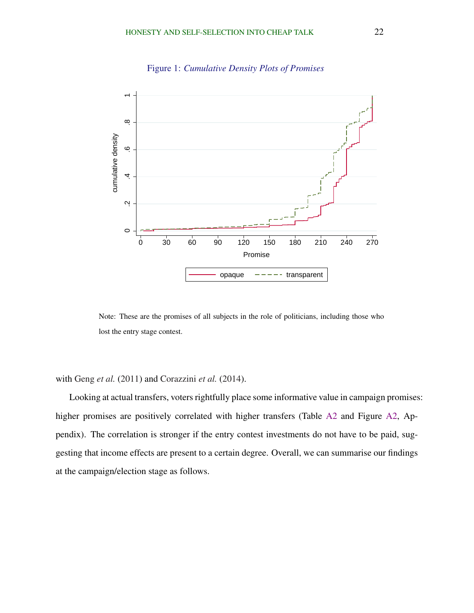<span id="page-22-0"></span>

Figure 1: *Cumulative Density Plots of Promises*

Note: These are the promises of all subjects in the role of politicians, including those who lost the entry stage contest.

#### with [Geng](#page-48-0) *et al.* [\(2011\)](#page-48-0) and [Corazzini](#page-47-0) *et al.* [\(2014\)](#page-47-0).

Looking at actual transfers, voters rightfully place some informative value in campaign promises: higher promises are positively correlated with higher transfers (Table [A2](#page-25-0) and Figure [A2,](#page-23-0) Appendix). The correlation is stronger if the entry contest investments do not have to be paid, suggesting that income effects are present to a certain degree. Overall, we can summarise our findings at the campaign/election stage as follows.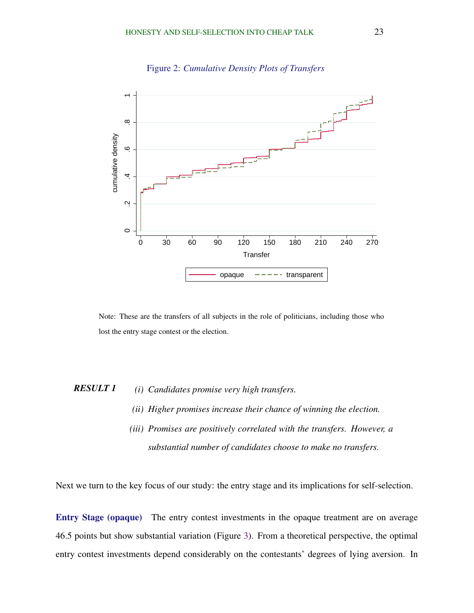<span id="page-23-0"></span>

Figure 2: *Cumulative Density Plots of Transfers*

Note: These are the transfers of all subjects in the role of politicians, including those who lost the entry stage contest or the election.

### *RESULT 1 (i) Candidates promise very high transfers.*

- *(ii) Higher promises increase their chance of winning the election.*
- *(iii) Promises are positively correlated with the transfers. However, a substantial number of candidates choose to make no transfers.*

Next we turn to the key focus of our study: the entry stage and its implications for self-selection.

Entry Stage (opaque) The entry contest investments in the opaque treatment are on average 46.5 points but show substantial variation (Figure [3\)](#page-24-0). From a theoretical perspective, the optimal entry contest investments depend considerably on the contestants' degrees of lying aversion. In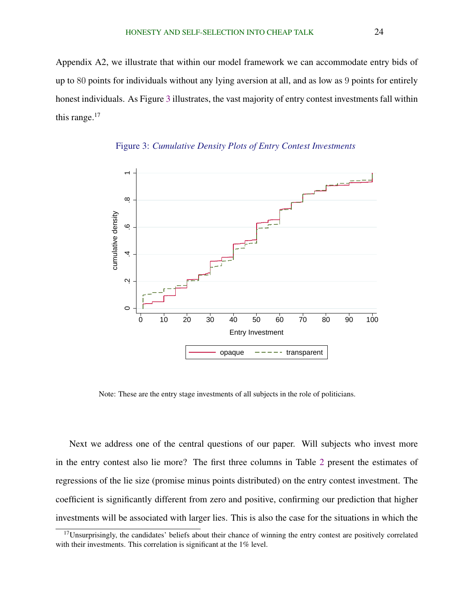<span id="page-24-0"></span>Appendix A2, we illustrate that within our model framework we can accommodate entry bids of up to 80 points for individuals without any lying aversion at all, and as low as 9 points for entirely honest individuals. As Figure 3 illustrates, the vast majority of entry contest investments fall within this range.<sup>17</sup>





Note: These are the entry stage investments of all subjects in the role of politicians.

Next we address one of the central questions of our paper. Will subjects who invest more in the entry contest also lie more? The first three columns in Table [2](#page-25-0) present the estimates of regressions of the lie size (promise minus points distributed) on the entry contest investment. The coefficient is significantly different from zero and positive, confirming our prediction that higher investments will be associated with larger lies. This is also the case for the situations in which the

 $17$ Unsurprisingly, the candidates' beliefs about their chance of winning the entry contest are positively correlated with their investments. This correlation is significant at the 1% level.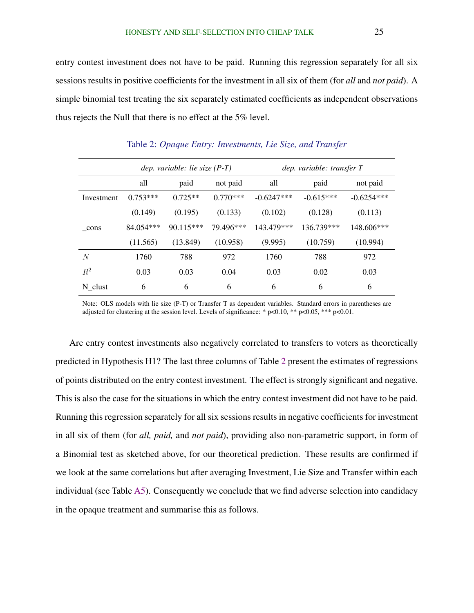<span id="page-25-0"></span>entry contest investment does not have to be paid. Running this regression separately for all six sessions results in positive coefficients for the investment in all six of them (for *all* and *not paid*). A

simple binomial test treating the six separately estimated coefficients as independent observations thus rejects the Null that there is no effect at the 5% level.

|            |            | dep. variable: lie size $(P-T)$ |            | dep. variable: transfer T |             |              |  |
|------------|------------|---------------------------------|------------|---------------------------|-------------|--------------|--|
|            | all        | paid                            | not paid   | all                       | paid        | not paid     |  |
| Investment | $0.753***$ | $0.725**$                       | $0.770***$ | $-0.6247***$              | $-0.615***$ | $-0.6254***$ |  |
|            | (0.149)    | (0.195)                         | (0.133)    | (0.102)                   | (0.128)     | (0.113)      |  |
| cons       | 84.054***  | $90.115***$                     | 79.496***  | 143.479***                | 136.739***  | $148.606***$ |  |
|            | (11.565)   | (13.849)                        | (10.958)   | (9.995)                   | (10.759)    | (10.994)     |  |
| N          | 1760       | 788                             | 972        | 1760                      | 788         | 972          |  |
| $R^2$      | 0.03       | 0.03                            | 0.04       | 0.03                      | 0.02        | 0.03         |  |
| N clust    | 6          | 6                               | 6          | 6                         | 6           | 6            |  |

Table 2: *Opaque Entry: Investments, Lie Size, and Transfer*

Note: OLS models with lie size (P-T) or Transfer T as dependent variables. Standard errors in parentheses are adjusted for clustering at the session level. Levels of significance: \*  $p<0.10$ , \*\*  $p<0.05$ , \*\*\*  $p<0.01$ .

Are entry contest investments also negatively correlated to transfers to voters as theoretically predicted in Hypothesis H1? The last three columns of Table 2 present the estimates of regressions of points distributed on the entry contest investment. The effect is strongly significant and negative. This is also the case for the situations in which the entry contest investment did not have to be paid. Running this regression separately for all six sessions results in negative coefficients for investment in all six of them (for *all, paid,* and *not paid*), providing also non-parametric support, in form of a Binomial test as sketched above, for our theoretical prediction. These results are confirmed if we look at the same correlations but after averaging Investment, Lie Size and Transfer within each individual (see Table [A5\)](#page-42-0). Consequently we conclude that we find adverse selection into candidacy in the opaque treatment and summarise this as follows.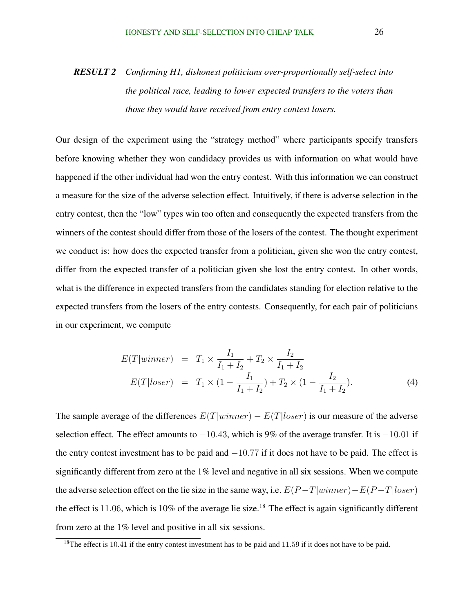## <span id="page-26-0"></span>*RESULT 2 Confirming H1, dishonest politicians over-proportionally self-select into the political race, leading to lower expected transfers to the voters than those they would have received from entry contest losers.*

Our design of the experiment using the "strategy method" where participants specify transfers before knowing whether they won candidacy provides us with information on what would have happened if the other individual had won the entry contest. With this information we can construct a measure for the size of the adverse selection effect. Intuitively, if there is adverse selection in the entry contest, then the "low" types win too often and consequently the expected transfers from the winners of the contest should differ from those of the losers of the contest. The thought experiment we conduct is: how does the expected transfer from a politician, given she won the entry contest, differ from the expected transfer of a politician given she lost the entry contest. In other words, what is the difference in expected transfers from the candidates standing for election relative to the expected transfers from the losers of the entry contests. Consequently, for each pair of politicians in our experiment, we compute

$$
E(T|winner) = T_1 \times \frac{I_1}{I_1 + I_2} + T_2 \times \frac{I_2}{I_1 + I_2}
$$
  
\n
$$
E(T|loser) = T_1 \times (1 - \frac{I_1}{I_1 + I_2}) + T_2 \times (1 - \frac{I_2}{I_1 + I_2}).
$$
\n(4)

The sample average of the differences  $E(T|winner) - E(T|loser)$  is our measure of the adverse selection effect. The effect amounts to  $-10.43$ , which is 9% of the average transfer. It is  $-10.01$  if the entry contest investment has to be paid and  $-10.77$  if it does not have to be paid. The effect is significantly different from zero at the 1% level and negative in all six sessions. When we compute the adverse selection effect on the lie size in the same way, i.e.  $E(P-T|winner) - E(P-T|User)$ the effect is 11.06, which is 10% of the average lie size.<sup>18</sup> The effect is again significantly different from zero at the 1% level and positive in all six sessions.

<sup>&</sup>lt;sup>18</sup>The effect is 10.41 if the entry contest investment has to be paid and 11.59 if it does not have to be paid.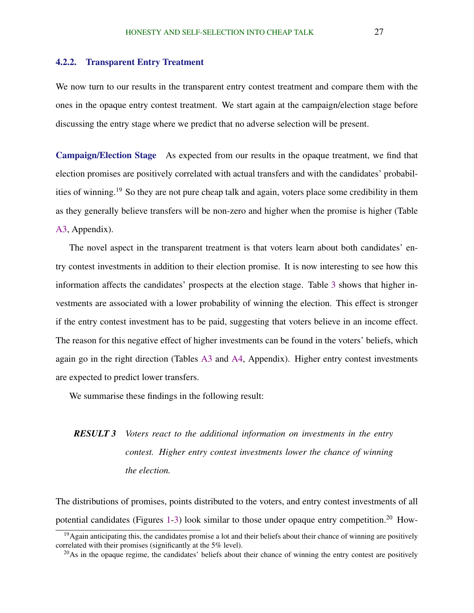#### 4.2.2. Transparent Entry Treatment

We now turn to our results in the transparent entry contest treatment and compare them with the ones in the opaque entry contest treatment. We start again at the campaign/election stage before discussing the entry stage where we predict that no adverse selection will be present.

Campaign/Election Stage As expected from our results in the opaque treatment, we find that election promises are positively correlated with actual transfers and with the candidates' probabilities of winning.<sup>19</sup> So they are not pure cheap talk and again, voters place some credibility in them as they generally believe transfers will be non-zero and higher when the promise is higher (Table [A3,](#page-28-0) Appendix).

The novel aspect in the transparent treatment is that voters learn about both candidates' entry contest investments in addition to their election promise. It is now interesting to see how this information affects the candidates' prospects at the election stage. Table [3](#page-28-0) shows that higher investments are associated with a lower probability of winning the election. This effect is stronger if the entry contest investment has to be paid, suggesting that voters believe in an income effect. The reason for this negative effect of higher investments can be found in the voters' beliefs, which again go in the right direction (Tables [A3](#page-28-0) and [A4,](#page-29-0) Appendix). Higher entry contest investments are expected to predict lower transfers.

We summarise these findings in the following result:

## *RESULT 3 Voters react to the additional information on investments in the entry contest. Higher entry contest investments lower the chance of winning the election.*

The distributions of promises, points distributed to the voters, and entry contest investments of all potential candidates (Figures [1-](#page-22-0)[3\)](#page-24-0) look similar to those under opaque entry competition.<sup>20</sup> How-

 $19$ Again anticipating this, the candidates promise a lot and their beliefs about their chance of winning are positively correlated with their promises (significantly at the 5% level).

 $^{20}$ As in the opaque regime, the candidates' beliefs about their chance of winning the entry contest are positively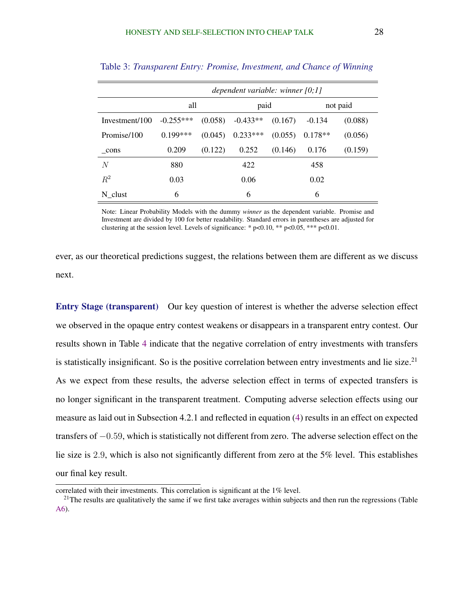|                | dependent variable: winner $[0;1]$ |         |            |         |           |         |  |  |
|----------------|------------------------------------|---------|------------|---------|-----------|---------|--|--|
|                | all                                |         | paid       |         | not paid  |         |  |  |
| Investment/100 | $-0.255***$                        | (0.058) | $-0.433**$ | (0.167) | $-0.134$  | (0.088) |  |  |
| Promise/100    | $0.199***$                         | (0.045) | $0.233***$ | (0.055) | $0.178**$ | (0.056) |  |  |
| cons           | 0.209<br>(0.122)                   |         | 0.252      | (0.146) | 0.176     | (0.159) |  |  |
| $\overline{N}$ | 880                                |         | 422        |         | 458       |         |  |  |
| $R^2$          | 0.03                               |         | 0.06       |         | 0.02      |         |  |  |
| N clust        | 6                                  |         | 6          |         | 6         |         |  |  |

<span id="page-28-0"></span>Table 3: *Transparent Entry: Promise, Investment, and Chance of Winning*

Note: Linear Probability Models with the dummy *winner* as the dependent variable. Promise and Investment are divided by 100 for better readability. Standard errors in parentheses are adjusted for clustering at the session level. Levels of significance: \*  $p<0.10$ , \*\*  $p<0.05$ , \*\*\*  $p<0.01$ .

ever, as our theoretical predictions suggest, the relations between them are different as we discuss next.

Entry Stage (transparent) Our key question of interest is whether the adverse selection effect we observed in the opaque entry contest weakens or disappears in a transparent entry contest. Our results shown in Table [4](#page-29-0) indicate that the negative correlation of entry investments with transfers is statistically insignificant. So is the positive correlation between entry investments and lie size.<sup>21</sup> As we expect from these results, the adverse selection effect in terms of expected transfers is no longer significant in the transparent treatment. Computing adverse selection effects using our measure as laid out in Subsection 4.2.1 and reflected in equation [\(4\)](#page-26-0) results in an effect on expected transfers of −0.59, which is statistically not different from zero. The adverse selection effect on the lie size is 2.9, which is also not significantly different from zero at the 5% level. This establishes our final key result.

correlated with their investments. This correlation is significant at the 1% level.

<sup>&</sup>lt;sup>21</sup>The results are qualitatively the same if we first take averages within subjects and then run the regressions (Table [A6\)](#page-43-0).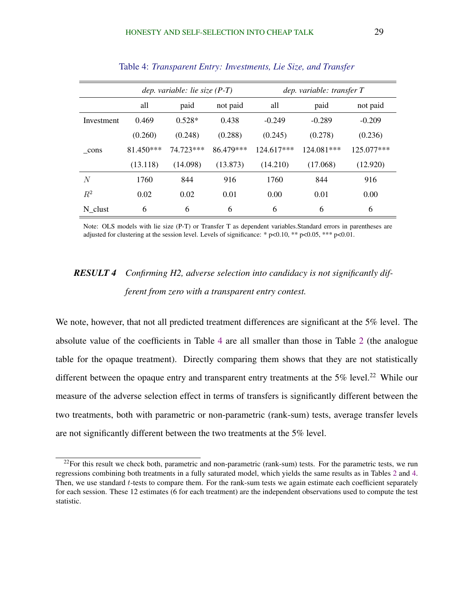<span id="page-29-0"></span>

|                |           | dep. variable: lie size $(P-T)$ |           |            | dep. variable: transfer T |            |  |  |
|----------------|-----------|---------------------------------|-----------|------------|---------------------------|------------|--|--|
|                | all       | paid                            | not paid  | all        | paid                      | not paid   |  |  |
| Investment     | 0.469     | $0.528*$                        | 0.438     | $-0.249$   | $-0.289$                  | $-0.209$   |  |  |
|                | (0.260)   | (0.248)                         | (0.288)   | (0.245)    | (0.278)                   | (0.236)    |  |  |
| cons           | 81.450*** | 74.723***                       | 86.479*** | 124.617*** | 124.081***                | 125.077*** |  |  |
|                | (13.118)  | (14.098)                        | (13.873)  | (14.210)   | (17.068)                  | (12.920)   |  |  |
| $\overline{N}$ | 1760      | 844                             | 916       | 1760       | 844                       | 916        |  |  |
| $R^2$          | 0.02      | 0.02                            | 0.01      | 0.00       | 0.01                      | 0.00       |  |  |

Table 4: *Transparent Entry: Investments, Lie Size, and Transfer*

Note: OLS models with lie size (P-T) or Transfer T as dependent variables.Standard errors in parentheses are adjusted for clustering at the session level. Levels of significance: \*  $p<0.10$ , \*\*  $p<0.05$ , \*\*\*  $p<0.01$ .

N\_clust 6 6 6 6 6 6

## *RESULT 4 Confirming H2, adverse selection into candidacy is not significantly different from zero with a transparent entry contest.*

We note, however, that not all predicted treatment differences are significant at the 5% level. The absolute value of the coefficients in Table 4 are all smaller than those in Table [2](#page-25-0) (the analogue table for the opaque treatment). Directly comparing them shows that they are not statistically different between the opaque entry and transparent entry treatments at the  $5\%$  level.<sup>22</sup> While our measure of the adverse selection effect in terms of transfers is significantly different between the two treatments, both with parametric or non-parametric (rank-sum) tests, average transfer levels are not significantly different between the two treatments at the 5% level.

 $22$ For this result we check both, parametric and non-parametric (rank-sum) tests. For the parametric tests, we run regressions combining both treatments in a fully saturated model, which yields the same results as in Tables [2](#page-25-0) and 4. Then, we use standard *t*-tests to compare them. For the rank-sum tests we again estimate each coefficient separately for each session. These 12 estimates (6 for each treatment) are the independent observations used to compute the test statistic.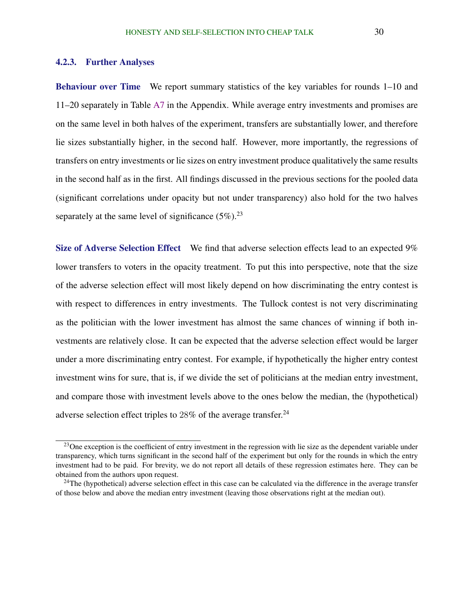#### 4.2.3. Further Analyses

Behaviour over Time We report summary statistics of the key variables for rounds 1–10 and 11–20 separately in Table [A7](#page-43-0) in the Appendix. While average entry investments and promises are on the same level in both halves of the experiment, transfers are substantially lower, and therefore lie sizes substantially higher, in the second half. However, more importantly, the regressions of transfers on entry investments or lie sizes on entry investment produce qualitatively the same results in the second half as in the first. All findings discussed in the previous sections for the pooled data (significant correlations under opacity but not under transparency) also hold for the two halves separately at the same level of significance  $(5\%)$ .<sup>23</sup>

Size of Adverse Selection Effect We find that adverse selection effects lead to an expected 9% lower transfers to voters in the opacity treatment. To put this into perspective, note that the size of the adverse selection effect will most likely depend on how discriminating the entry contest is with respect to differences in entry investments. The Tullock contest is not very discriminating as the politician with the lower investment has almost the same chances of winning if both investments are relatively close. It can be expected that the adverse selection effect would be larger under a more discriminating entry contest. For example, if hypothetically the higher entry contest investment wins for sure, that is, if we divide the set of politicians at the median entry investment, and compare those with investment levels above to the ones below the median, the (hypothetical) adverse selection effect triples to  $28\%$  of the average transfer.<sup>24</sup>

 $23$ One exception is the coefficient of entry investment in the regression with lie size as the dependent variable under transparency, which turns significant in the second half of the experiment but only for the rounds in which the entry investment had to be paid. For brevity, we do not report all details of these regression estimates here. They can be obtained from the authors upon request.

 $24$ The (hypothetical) adverse selection effect in this case can be calculated via the difference in the average transfer of those below and above the median entry investment (leaving those observations right at the median out).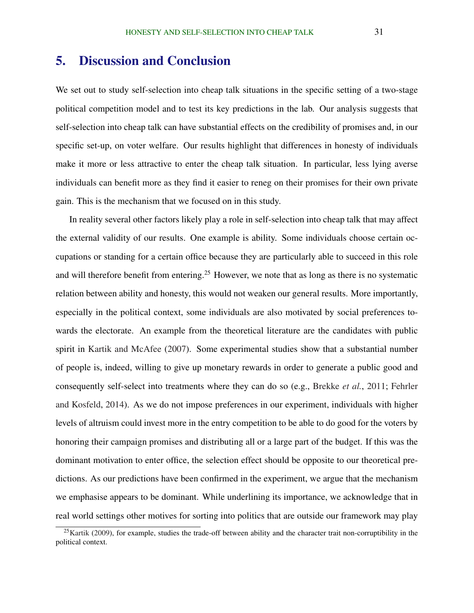## 5. Discussion and Conclusion

We set out to study self-selection into cheap talk situations in the specific setting of a two-stage political competition model and to test its key predictions in the lab. Our analysis suggests that self-selection into cheap talk can have substantial effects on the credibility of promises and, in our specific set-up, on voter welfare. Our results highlight that differences in honesty of individuals make it more or less attractive to enter the cheap talk situation. In particular, less lying averse individuals can benefit more as they find it easier to reneg on their promises for their own private gain. This is the mechanism that we focused on in this study.

In reality several other factors likely play a role in self-selection into cheap talk that may affect the external validity of our results. One example is ability. Some individuals choose certain occupations or standing for a certain office because they are particularly able to succeed in this role and will therefore benefit from entering.<sup>25</sup> However, we note that as long as there is no systematic relation between ability and honesty, this would not weaken our general results. More importantly, especially in the political context, some individuals are also motivated by social preferences towards the electorate. An example from the theoretical literature are the candidates with public spirit in [Kartik and McAfee](#page-49-0) [\(2007\)](#page-49-0). Some experimental studies show that a substantial number of people is, indeed, willing to give up monetary rewards in order to generate a public good and consequently self-select into treatments where they can do so (e.g., [Brekke](#page-46-0) *et al.*, [2011;](#page-46-0) [Fehrler](#page-48-0) [and Kosfeld,](#page-48-0) [2014\)](#page-48-0). As we do not impose preferences in our experiment, individuals with higher levels of altruism could invest more in the entry competition to be able to do good for the voters by honoring their campaign promises and distributing all or a large part of the budget. If this was the dominant motivation to enter office, the selection effect should be opposite to our theoretical predictions. As our predictions have been confirmed in the experiment, we argue that the mechanism we emphasise appears to be dominant. While underlining its importance, we acknowledge that in real world settings other motives for sorting into politics that are outside our framework may play

 $25$ [Kartik](#page-49-0) [\(2009\)](#page-49-0), for example, studies the trade-off between ability and the character trait non-corruptibility in the political context.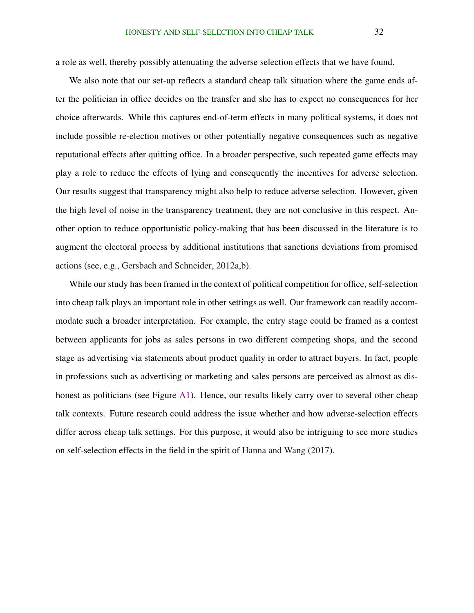a role as well, thereby possibly attenuating the adverse selection effects that we have found.

We also note that our set-up reflects a standard cheap talk situation where the game ends after the politician in office decides on the transfer and she has to expect no consequences for her choice afterwards. While this captures end-of-term effects in many political systems, it does not include possible re-election motives or other potentially negative consequences such as negative reputational effects after quitting office. In a broader perspective, such repeated game effects may play a role to reduce the effects of lying and consequently the incentives for adverse selection. Our results suggest that transparency might also help to reduce adverse selection. However, given the high level of noise in the transparency treatment, they are not conclusive in this respect. Another option to reduce opportunistic policy-making that has been discussed in the literature is to augment the electoral process by additional institutions that sanctions deviations from promised actions (see, e.g., [Gersbach and Schneider,](#page-48-0) [2012a,b\)](#page-48-0).

While our study has been framed in the context of political competition for office, self-selection into cheap talk plays an important role in other settings as well. Our framework can readily accommodate such a broader interpretation. For example, the entry stage could be framed as a contest between applicants for jobs as sales persons in two different competing shops, and the second stage as advertising via statements about product quality in order to attract buyers. In fact, people in professions such as advertising or marketing and sales persons are perceived as almost as dis-honest as politicians (see Figure [A1\)](#page-22-0). Hence, our results likely carry over to several other cheap talk contexts. Future research could address the issue whether and how adverse-selection effects differ across cheap talk settings. For this purpose, it would also be intriguing to see more studies on self-selection effects in the field in the spirit of [Hanna and Wang](#page-49-0) [\(2017\)](#page-49-0).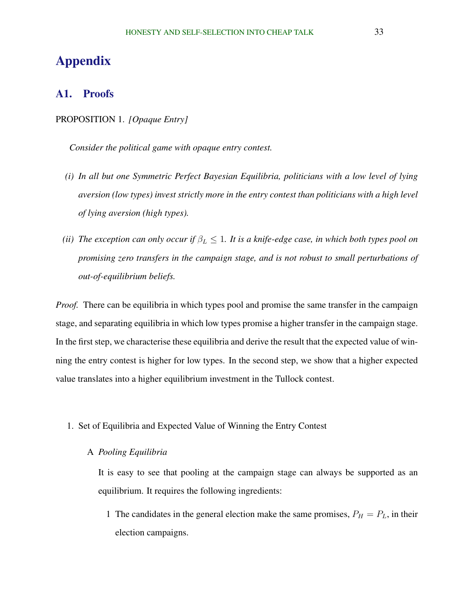## Appendix

#### A1. Proofs

PROPOSITION 1. *[Opaque Entry]*

*Consider the political game with opaque entry contest.*

- *(i) In all but one Symmetric Perfect Bayesian Equilibria, politicians with a low level of lying aversion (low types) invest strictly more in the entry contest than politicians with a high level of lying aversion (high types).*
- *(ii) The exception can only occur if*  $\beta_L \leq 1$ *. It is a knife-edge case, in which both types pool on promising zero transfers in the campaign stage, and is not robust to small perturbations of out-of-equilibrium beliefs.*

*Proof.* There can be equilibria in which types pool and promise the same transfer in the campaign stage, and separating equilibria in which low types promise a higher transfer in the campaign stage. In the first step, we characterise these equilibria and derive the result that the expected value of winning the entry contest is higher for low types. In the second step, we show that a higher expected value translates into a higher equilibrium investment in the Tullock contest.

1. Set of Equilibria and Expected Value of Winning the Entry Contest

#### A *Pooling Equilibria*

It is easy to see that pooling at the campaign stage can always be supported as an equilibrium. It requires the following ingredients:

1 The candidates in the general election make the same promises,  $P_H = P_L$ , in their election campaigns.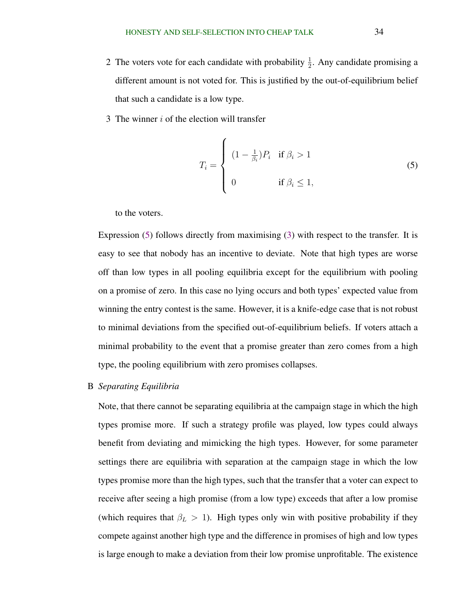- 2 The voters vote for each candidate with probability  $\frac{1}{2}$ . Any candidate promising a different amount is not voted for. This is justified by the out-of-equilibrium belief that such a candidate is a low type.
- 3 The winner i of the election will transfer

$$
T_i = \begin{cases} (1 - \frac{1}{\beta_i}) P_i & \text{if } \beta_i > 1 \\ 0 & \text{if } \beta_i \le 1, \end{cases}
$$
 (5)

to the voters.

Expression (5) follows directly from maximising [\(3\)](#page-12-0) with respect to the transfer. It is easy to see that nobody has an incentive to deviate. Note that high types are worse off than low types in all pooling equilibria except for the equilibrium with pooling on a promise of zero. In this case no lying occurs and both types' expected value from winning the entry contest is the same. However, it is a knife-edge case that is not robust to minimal deviations from the specified out-of-equilibrium beliefs. If voters attach a minimal probability to the event that a promise greater than zero comes from a high type, the pooling equilibrium with zero promises collapses.

#### B *Separating Equilibria*

Note, that there cannot be separating equilibria at the campaign stage in which the high types promise more. If such a strategy profile was played, low types could always benefit from deviating and mimicking the high types. However, for some parameter settings there are equilibria with separation at the campaign stage in which the low types promise more than the high types, such that the transfer that a voter can expect to receive after seeing a high promise (from a low type) exceeds that after a low promise (which requires that  $\beta_L > 1$ ). High types only win with positive probability if they compete against another high type and the difference in promises of high and low types is large enough to make a deviation from their low promise unprofitable. The existence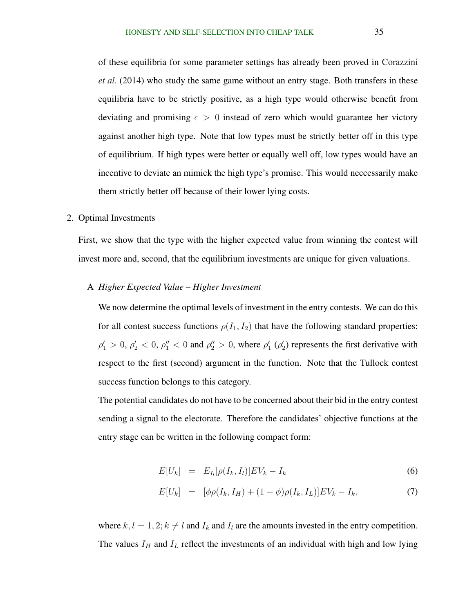of these equilibria for some parameter settings has already been proved in [Corazzini](#page-47-0) *[et al.](#page-47-0)* [\(2014\)](#page-47-0) who study the same game without an entry stage. Both transfers in these equilibria have to be strictly positive, as a high type would otherwise benefit from deviating and promising  $\epsilon > 0$  instead of zero which would guarantee her victory against another high type. Note that low types must be strictly better off in this type of equilibrium. If high types were better or equally well off, low types would have an incentive to deviate an mimick the high type's promise. This would neccessarily make them strictly better off because of their lower lying costs.

#### 2. Optimal Investments

First, we show that the type with the higher expected value from winning the contest will invest more and, second, that the equilibrium investments are unique for given valuations.

#### A *Higher Expected Value – Higher Investment*

We now determine the optimal levels of investment in the entry contests. We can do this for all contest success functions  $\rho(I_1, I_2)$  that have the following standard properties:  $\rho'_1 > 0$ ,  $\rho'_2 < 0$ ,  $\rho''_1 < 0$  and  $\rho''_2 > 0$ , where  $\rho'_1$  ( $\rho'_2$ ) represents the first derivative with respect to the first (second) argument in the function. Note that the Tullock contest success function belongs to this category.

The potential candidates do not have to be concerned about their bid in the entry contest sending a signal to the electorate. Therefore the candidates' objective functions at the entry stage can be written in the following compact form:

$$
E[U_k] = E_{I_l}[\rho(I_k, I_l)]EV_k - I_k \tag{6}
$$

$$
E[U_k] = [\phi \rho(I_k, I_H) + (1 - \phi)\rho(I_k, I_L)]EV_k - I_k, \tag{7}
$$

where  $k, l = 1, 2; k \neq l$  and  $I_k$  and  $I_l$  are the amounts invested in the entry competition. The values  $I_H$  and  $I_L$  reflect the investments of an individual with high and low lying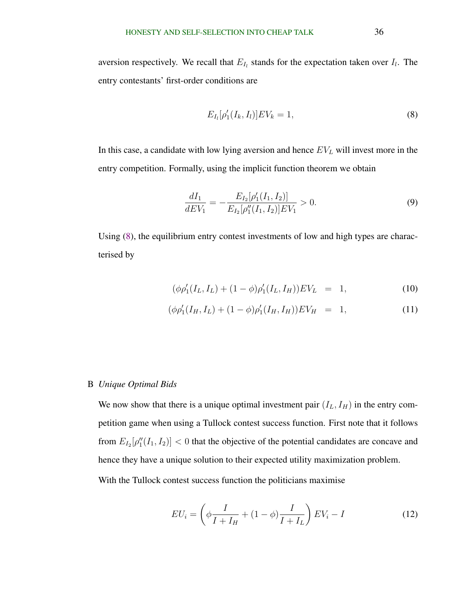<span id="page-36-0"></span>aversion respectively. We recall that  $E_{I_l}$  stands for the expectation taken over  $I_l$ . The entry contestants' first-order conditions are

$$
E_{I_l}[\rho'_1(I_k, I_l)]EV_k = 1,
$$
\n(8)

In this case, a candidate with low lying aversion and hence  $EV<sub>L</sub>$  will invest more in the entry competition. Formally, using the implicit function theorem we obtain

$$
\frac{dI_1}{dEV_1} = -\frac{E_{I_2}[\rho'_1(I_1, I_2)]}{E_{I_2}[\rho''_1(I_1, I_2)]EV_1} > 0.
$$
\n(9)

Using  $(8)$ , the equilibrium entry contest investments of low and high types are characterised by

$$
(\phi \rho_1'(I_L, I_L) + (1 - \phi) \rho_1'(I_L, I_H)) EV_L = 1, \qquad (10)
$$

$$
(\phi \rho_1'(I_H, I_L) + (1 - \phi)\rho_1'(I_H, I_H))EV_H = 1, \qquad (11)
$$

#### B *Unique Optimal Bids*

We now show that there is a unique optimal investment pair  $(I_L, I_H)$  in the entry competition game when using a Tullock contest success function. First note that it follows from  $E_{I_2}[\rho''_1(I_1, I_2)] < 0$  that the objective of the potential candidates are concave and hence they have a unique solution to their expected utility maximization problem.

With the Tullock contest success function the politicians maximise

$$
EU_i = \left(\phi \frac{I}{I+I_H} + (1-\phi)\frac{I}{I+I_L}\right) EV_i - I \tag{12}
$$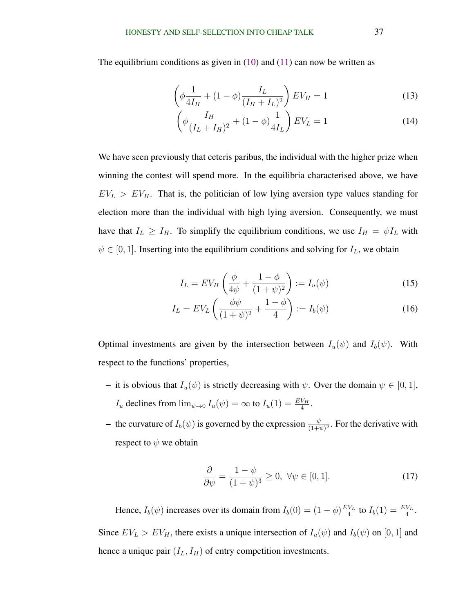The equilibrium conditions as given in  $(10)$  and  $(11)$  can now be written as

$$
\left(\phi \frac{1}{4I_H} + (1 - \phi) \frac{I_L}{(I_H + I_L)^2}\right) EV_H = 1
$$
\n(13)

$$
\left(\phi \frac{I_H}{(I_L + I_H)^2} + (1 - \phi) \frac{1}{4I_L}\right) EV_L = 1
$$
\n(14)

We have seen previously that ceteris paribus, the individual with the higher prize when winning the contest will spend more. In the equilibria characterised above, we have  $EV_L > EV_H$ . That is, the politician of low lying aversion type values standing for election more than the individual with high lying aversion. Consequently, we must have that  $I_L \geq I_H$ . To simplify the equilibrium conditions, we use  $I_H = \psi I_L$  with  $\psi \in [0, 1]$ . Inserting into the equilibrium conditions and solving for  $I_L$ , we obtain

$$
I_L = EV_H \left(\frac{\phi}{4\psi} + \frac{1-\phi}{(1+\psi)^2}\right) := I_u(\psi) \tag{15}
$$

$$
I_L = EV_L \left(\frac{\phi\psi}{(1+\psi)^2} + \frac{1-\phi}{4}\right) := I_b(\psi) \tag{16}
$$

Optimal investments are given by the intersection between  $I_u(\psi)$  and  $I_b(\psi)$ . With respect to the functions' properties,

- it is obvious that  $I_u(\psi)$  is strictly decreasing with  $\psi$ . Over the domain  $\psi \in [0,1]$ ,  $I_u$  declines from  $\lim_{\psi \to 0} I_u(\psi) = \infty$  to  $I_u(1) = \frac{E V_H}{4}$ .
- the curvature of  $I_b(\psi)$  is governed by the expression  $\frac{\psi}{(1+\psi)^2}$ . For the derivative with respect to  $\psi$  we obtain

$$
\frac{\partial}{\partial \psi} = \frac{1 - \psi}{(1 + \psi)^3} \ge 0, \ \forall \psi \in [0, 1]. \tag{17}
$$

Hence,  $I_b(\psi)$  increases over its domain from  $I_b(0) = (1 - \phi) \frac{E_i V_L}{4}$  $\frac{V_L}{4}$  to  $I_b(1) = \frac{EV_L}{4}$ . Since  $EV_L > EV_H$ , there exists a unique intersection of  $I_u(\psi)$  and  $I_b(\psi)$  on [0, 1] and hence a unique pair  $(I_L, I_H)$  of entry competition investments.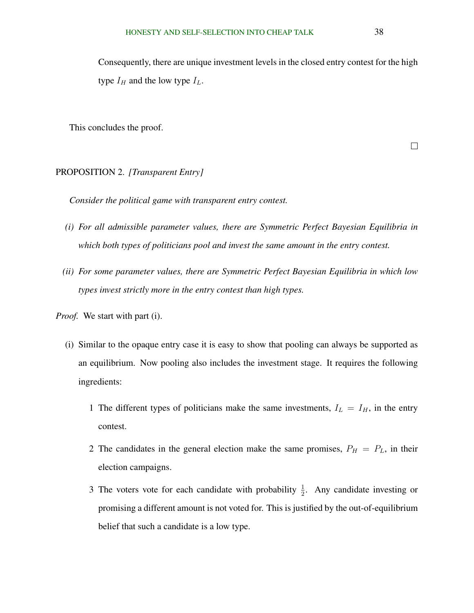Consequently, there are unique investment levels in the closed entry contest for the high type  $I_H$  and the low type  $I_L$ .

This concludes the proof.

 $\Box$ 

#### PROPOSITION 2. *[Transparent Entry]*

*Consider the political game with transparent entry contest.*

- *(i) For all admissible parameter values, there are Symmetric Perfect Bayesian Equilibria in which both types of politicians pool and invest the same amount in the entry contest.*
- *(ii) For some parameter values, there are Symmetric Perfect Bayesian Equilibria in which low types invest strictly more in the entry contest than high types.*

*Proof.* We start with part (i).

- (i) Similar to the opaque entry case it is easy to show that pooling can always be supported as an equilibrium. Now pooling also includes the investment stage. It requires the following ingredients:
	- 1 The different types of politicians make the same investments,  $I_L = I_H$ , in the entry contest.
	- 2 The candidates in the general election make the same promises,  $P_H = P_L$ , in their election campaigns.
	- 3 The voters vote for each candidate with probability  $\frac{1}{2}$ . Any candidate investing or promising a different amount is not voted for. This is justified by the out-of-equilibrium belief that such a candidate is a low type.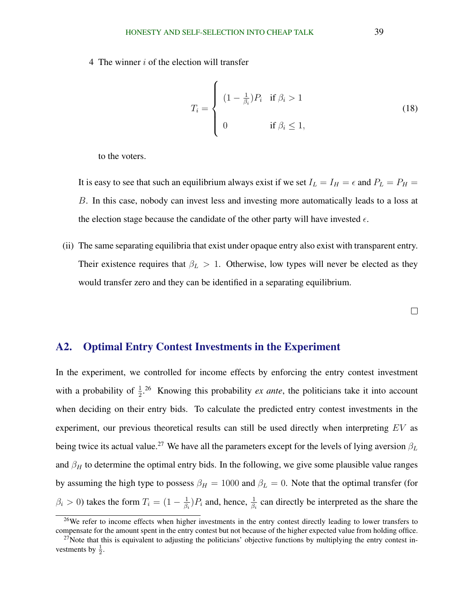4 The winner i of the election will transfer

$$
T_i = \begin{cases} (1 - \frac{1}{\beta_i}) P_i & \text{if } \beta_i > 1 \\ 0 & \text{if } \beta_i \le 1, \end{cases}
$$
 (18)

to the voters.

It is easy to see that such an equilibrium always exist if we set  $I_L = I_H = \epsilon$  and  $P_L = P_H =$ B. In this case, nobody can invest less and investing more automatically leads to a loss at the election stage because the candidate of the other party will have invested  $\epsilon$ .

(ii) The same separating equilibria that exist under opaque entry also exist with transparent entry. Their existence requires that  $\beta_L > 1$ . Otherwise, low types will never be elected as they would transfer zero and they can be identified in a separating equilibrium.

A2. Optimal Entry Contest Investments in the Experiment

In the experiment, we controlled for income effects by enforcing the entry contest investment with a probability of  $\frac{1}{2}$ .<sup>26</sup> Knowing this probability *ex ante*, the politicians take it into account when deciding on their entry bids. To calculate the predicted entry contest investments in the experiment, our previous theoretical results can still be used directly when interpreting EV as being twice its actual value.<sup>27</sup> We have all the parameters except for the levels of lying aversion  $\beta_L$ and  $\beta_H$  to determine the optimal entry bids. In the following, we give some plausible value ranges by assuming the high type to possess  $\beta_H = 1000$  and  $\beta_L = 0$ . Note that the optimal transfer (for  $\beta_i > 0$ ) takes the form  $T_i = (1 - \frac{1}{\beta_i})$  $\frac{1}{\beta_i}$ ) $P_i$  and, hence,  $\frac{1}{\beta_i}$  can directly be interpreted as the share the

 $\Box$ 

<sup>&</sup>lt;sup>26</sup>We refer to income effects when higher investments in the entry contest directly leading to lower transfers to compensate for the amount spent in the entry contest but not because of the higher expected value from holding office.

 $27$ Note that this is equivalent to adjusting the politicians' objective functions by multiplying the entry contest investments by  $\frac{1}{2}$ .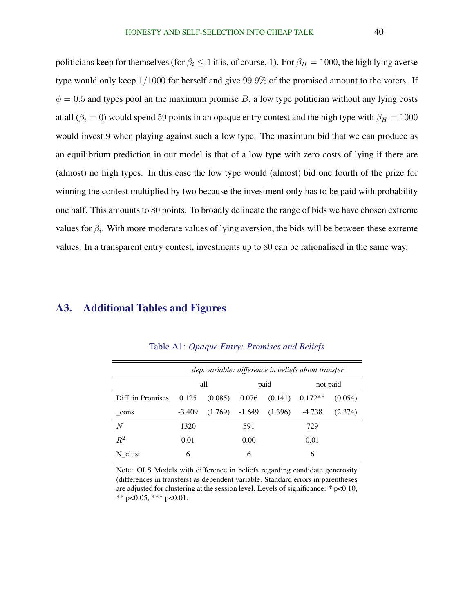politicians keep for themselves (for  $\beta_i \leq 1$  it is, of course, 1). For  $\beta_H = 1000$ , the high lying averse type would only keep 1/1000 for herself and give 99.9% of the promised amount to the voters. If  $\phi = 0.5$  and types pool an the maximum promise B, a low type politician without any lying costs at all ( $\beta_i = 0$ ) would spend 59 points in an opaque entry contest and the high type with  $\beta_H = 1000$ would invest 9 when playing against such a low type. The maximum bid that we can produce as an equilibrium prediction in our model is that of a low type with zero costs of lying if there are (almost) no high types. In this case the low type would (almost) bid one fourth of the prize for winning the contest multiplied by two because the investment only has to be paid with probability one half. This amounts to 80 points. To broadly delineate the range of bids we have chosen extreme values for  $\beta_i$ . With more moderate values of lying aversion, the bids will be between these extreme values. In a transparent entry contest, investments up to 80 can be rationalised in the same way.

#### A3. Additional Tables and Figures

|                   |          | dep. variable: difference in beliefs about transfer |        |         |                     |         |  |  |
|-------------------|----------|-----------------------------------------------------|--------|---------|---------------------|---------|--|--|
|                   | all      |                                                     | paid   |         | not paid            |         |  |  |
| Diff. in Promises | 0.125    | (0.085)                                             | 0.076  |         | $(0.141)$ $0.172**$ | (0.054) |  |  |
| cons              | $-3.409$ | (1.769)                                             | -1.649 | (1.396) | -4.738              | (2.374) |  |  |
| N                 | 1320     |                                                     | 591    |         | 729                 |         |  |  |
| $R^2$             | 0.01     |                                                     | 0.00   |         | 0.01                |         |  |  |
| $N_{clust}$       | 6        |                                                     | 6      |         | 6                   |         |  |  |

Table A1: *Opaque Entry: Promises and Beliefs*

Note: OLS Models with difference in beliefs regarding candidate generosity (differences in transfers) as dependent variable. Standard errors in parentheses are adjusted for clustering at the session level. Levels of significance:  $* p<0.10$ , \*\*  $p<0.05$ , \*\*\*  $p<0.01$ .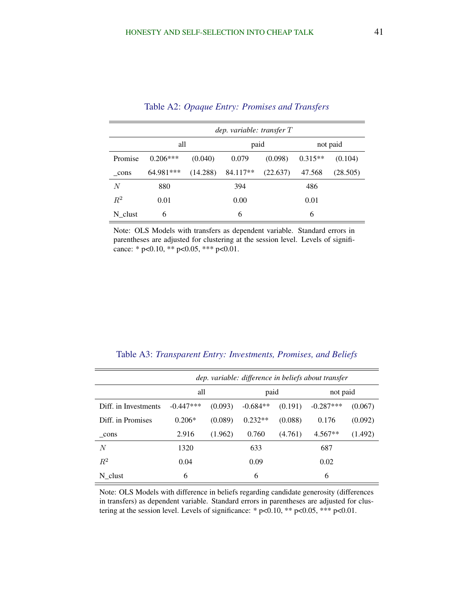|         | dep. variable: transfer $T$ |          |          |          |           |          |  |  |  |  |
|---------|-----------------------------|----------|----------|----------|-----------|----------|--|--|--|--|
|         | all                         |          | paid     |          | not paid  |          |  |  |  |  |
| Promise | $0.206***$                  | (0.040)  | 0.079    | (0.098)  | $0.315**$ | (0.104)  |  |  |  |  |
| cons    | 64.981***                   | (14.288) | 84.117** | (22.637) | 47.568    | (28.505) |  |  |  |  |
| N       | 880                         |          | 394      |          | 486       |          |  |  |  |  |
| $R^2$   | 0.01                        |          | 0.00     |          | 0.01      |          |  |  |  |  |
| N clust | 6                           |          | 6        |          | 6         |          |  |  |  |  |

#### Table A2: *Opaque Entry: Promises and Transfers*

Note: OLS Models with transfers as dependent variable. Standard errors in parentheses are adjusted for clustering at the session level. Levels of significance: \* p<0.10, \*\* p<0.05, \*\*\* p<0.01.

|  |  |  | Table A3: Transparent Entry: Investments, Promises, and Beliefs |  |  |
|--|--|--|-----------------------------------------------------------------|--|--|
|--|--|--|-----------------------------------------------------------------|--|--|

|                      | dep. variable: difference in beliefs about transfer |         |            |         |             |         |  |  |
|----------------------|-----------------------------------------------------|---------|------------|---------|-------------|---------|--|--|
|                      | all                                                 |         | paid       |         | not paid    |         |  |  |
| Diff. in Investments | $-0.447***$                                         | (0.093) | $-0.684**$ | (0.191) | $-0.287***$ | (0.067) |  |  |
| Diff. in Promises    | $0.206*$                                            | (0.089) | $0.232**$  | (0.088) | 0.176       | (0.092) |  |  |
| cons                 | 2.916                                               | (1.962) | 0.760      | (4.761) | $4.567**$   | (1.492) |  |  |
| $\boldsymbol{N}$     | 1320                                                |         | 633        |         | 687         |         |  |  |
| $R^2$                | 0.04                                                |         | 0.09       |         | 0.02        |         |  |  |
| N clust              | 6                                                   |         | 6          |         | 6           |         |  |  |

Note: OLS Models with difference in beliefs regarding candidate generosity (differences in transfers) as dependent variable. Standard errors in parentheses are adjusted for clustering at the session level. Levels of significance: \*  $p<0.10$ , \*\*  $p<0.05$ , \*\*\*  $p<0.01$ .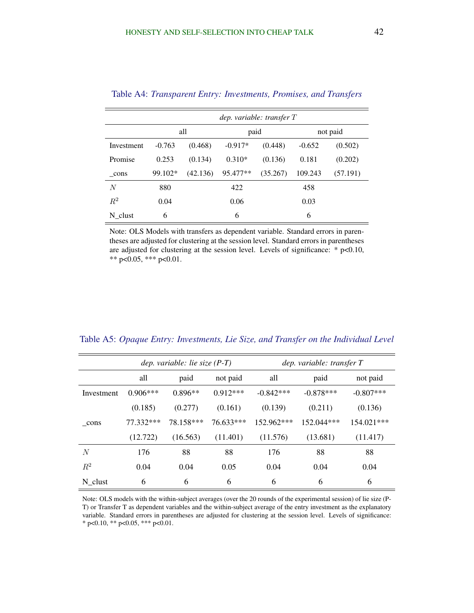|            | $dep.$ variable: transfer $T$ |          |           |          |          |          |  |  |  |
|------------|-------------------------------|----------|-----------|----------|----------|----------|--|--|--|
|            |                               | all      | paid      |          |          | not paid |  |  |  |
| Investment | $-0.763$                      | (0.468)  | $-0.917*$ | (0.448)  | $-0.652$ | (0.502)  |  |  |  |
| Promise    | 0.253                         | (0.134)  | $0.310*$  | (0.136)  | 0.181    | (0.202)  |  |  |  |
| cons       | 99.102*                       | (42.136) | 95.477**  | (35.267) | 109.243  | (57.191) |  |  |  |
| N          | 880                           |          | 422       |          | 458      |          |  |  |  |
| $R^2$      | 0.04                          |          | 0.06      |          | 0.03     |          |  |  |  |
| N clust    | 6                             |          | 6         |          | 6        |          |  |  |  |

<span id="page-42-0"></span>Table A4: *Transparent Entry: Investments, Promises, and Transfers*

Note: OLS Models with transfers as dependent variable. Standard errors in parentheses are adjusted for clustering at the session level. Standard errors in parentheses are adjusted for clustering at the session level. Levels of significance:  $*$  p<0.10, \*\* p<0.05, \*\*\* p<0.01.

|            |            | dep. variable: lie size $(P-T)$ |            | dep. variable: transfer T |             |              |  |
|------------|------------|---------------------------------|------------|---------------------------|-------------|--------------|--|
|            | all        | paid                            | not paid   | all                       | paid        | not paid     |  |
| Investment | $0.906***$ | $0.896**$                       | $0.912***$ | $-0.842***$               | $-0.878***$ | $-0.807***$  |  |
|            | (0.185)    | (0.277)                         | (0.161)    | (0.139)                   | (0.211)     | (0.136)      |  |
| cons       | 77.332 *** | 78.158***                       | 76.633***  | 152.962***                | 152.044***  | $154.021***$ |  |
|            | (12.722)   | (16.563)                        | (11.401)   | (11.576)                  | (13.681)    | (11.417)     |  |
| $\cal N$   | 176        | 88                              | 88         | 176                       | 88          | 88           |  |
| $R^2$      | 0.04       | 0.04                            | 0.05       | 0.04                      | 0.04        | 0.04         |  |
| N clust    | 6          | 6                               | 6          | 6                         | 6           | 6            |  |

Table A5: *Opaque Entry: Investments, Lie Size, and Transfer on the Individual Level*

Note: OLS models with the within-subject averages (over the 20 rounds of the experimental session) of lie size (P-T) or Transfer T as dependent variables and the within-subject average of the entry investment as the explanatory variable. Standard errors in parentheses are adjusted for clustering at the session level. Levels of significance: \* p<0.10, \*\* p<0.05, \*\*\* p<0.01.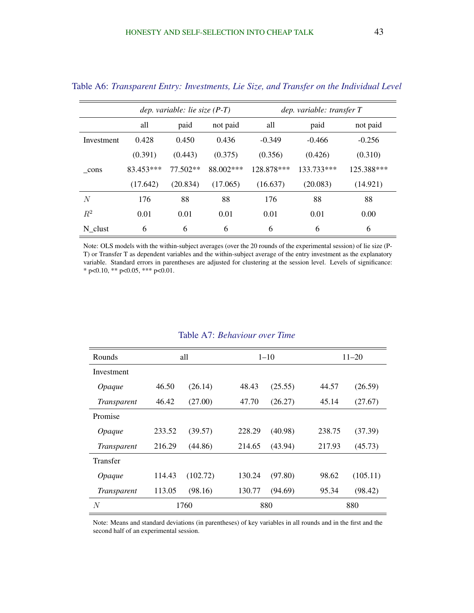|                |           | dep. variable: lie size $(P-T)$ |           | dep. variable: transfer T |            |            |  |
|----------------|-----------|---------------------------------|-----------|---------------------------|------------|------------|--|
|                | all       | paid                            | not paid  | all                       | paid       | not paid   |  |
| Investment     | 0.428     | 0.450                           | 0.436     | $-0.349$                  | $-0.466$   | $-0.256$   |  |
|                | (0.391)   | (0.443)                         | (0.375)   | (0.356)                   | (0.426)    | (0.310)    |  |
| cons           | 83.453*** | 77.502**                        | 88.002*** | 128.878***                | 133.733*** | 125.388*** |  |
|                | (17.642)  | (20.834)                        | (17.065)  | (16.637)                  | (20.083)   | (14.921)   |  |
| N              | 176       | 88                              | 88        | 176                       | 88         | 88         |  |
| $\mathbb{R}^2$ | 0.01      | 0.01                            | 0.01      | 0.01                      | 0.01       | 0.00       |  |
| N clust        | 6         | 6                               | 6         | 6                         | 6          | 6          |  |

<span id="page-43-0"></span>Table A6: *Transparent Entry: Investments, Lie Size, and Transfer on the Individual Level*

Note: OLS models with the within-subject averages (over the 20 rounds of the experimental session) of lie size (P-T) or Transfer T as dependent variables and the within-subject average of the entry investment as the explanatory variable. Standard errors in parentheses are adjusted for clustering at the session level. Levels of significance: \* p<0.10, \*\* p<0.05, \*\*\* p<0.01.

| Rounds             |        | all      |        | $1 - 10$ |        | $11 - 20$ |  |
|--------------------|--------|----------|--------|----------|--------|-----------|--|
| Investment         |        |          |        |          |        |           |  |
| <i>Opaque</i>      | 46.50  | (26.14)  | 48.43  | (25.55)  | 44.57  | (26.59)   |  |
| Transparent        | 46.42  | (27.00)  | 47.70  | (26.27)  | 45.14  | (27.67)   |  |
| Promise            |        |          |        |          |        |           |  |
| <i>Opaque</i>      | 233.52 | (39.57)  | 228.29 | (40.98)  | 238.75 | (37.39)   |  |
| Transparent        | 216.29 | (44.86)  | 214.65 | (43.94)  | 217.93 | (45.73)   |  |
| Transfer           |        |          |        |          |        |           |  |
| <i>Opaque</i>      | 114.43 | (102.72) | 130.24 | (97.80)  | 98.62  | (105.11)  |  |
| <i>Transparent</i> | 113.05 | (98.16)  | 130.77 | (94.69)  | 95.34  | (98.42)   |  |
| N                  |        | 1760     |        | 880      |        | 880       |  |

#### Table A7: *Behaviour over Time*

Note: Means and standard deviations (in parentheses) of key variables in all rounds and in the first and the second half of an experimental session.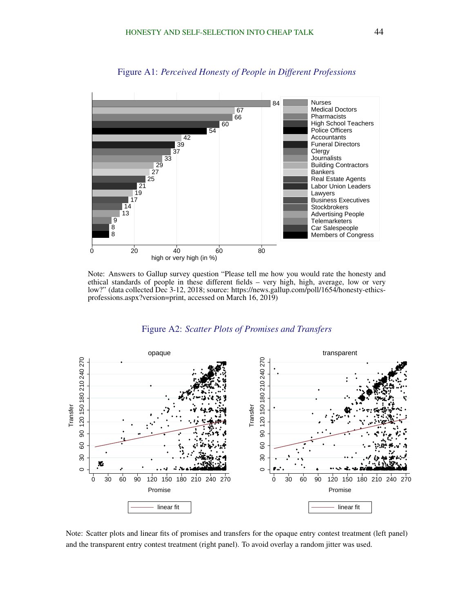

Figure A1: *Perceived Honesty of People in Different Professions*

Note: Answers to Gallup survey question "Please tell me how you would rate the honesty and ethical standards of people in these different fields – very high, high, average, low or very low?" (data collected Dec 3-12, 2018; source: https://news.gallup.com/poll/1654/honesty-ethicsprofessions.aspx?version=print, accessed on March 16, 2019)





Note: Scatter plots and linear fits of promises and transfers for the opaque entry contest treatment (left panel) and the transparent entry contest treatment (right panel). To avoid overlay a random jitter was used.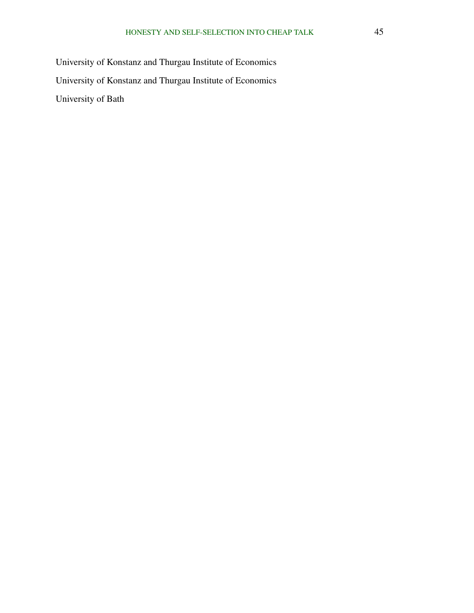University of Konstanz and Thurgau Institute of Economics University of Konstanz and Thurgau Institute of Economics University of Bath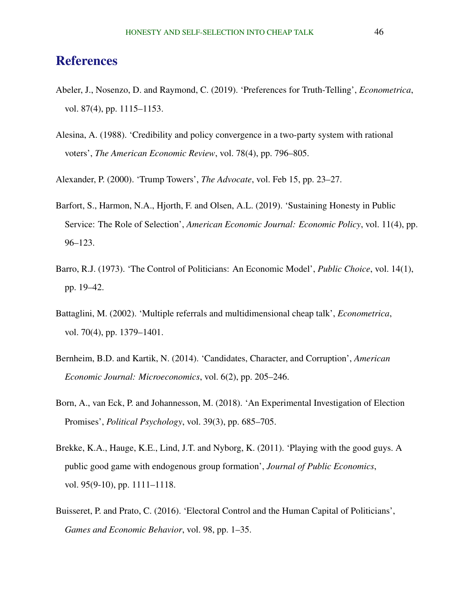## <span id="page-46-0"></span>References

- Abeler, J., Nosenzo, D. and Raymond, C. (2019). 'Preferences for Truth-Telling', *Econometrica*, vol. 87(4), pp. 1115–1153.
- Alesina, A. (1988). 'Credibility and policy convergence in a two-party system with rational voters', *The American Economic Review*, vol. 78(4), pp. 796–805.

Alexander, P. (2000). 'Trump Towers', *The Advocate*, vol. Feb 15, pp. 23–27.

- Barfort, S., Harmon, N.A., Hjorth, F. and Olsen, A.L. (2019). 'Sustaining Honesty in Public Service: The Role of Selection', *American Economic Journal: Economic Policy*, vol. 11(4), pp. 96–123.
- Barro, R.J. (1973). 'The Control of Politicians: An Economic Model', *Public Choice*, vol. 14(1), pp. 19–42.
- Battaglini, M. (2002). 'Multiple referrals and multidimensional cheap talk', *Econometrica*, vol. 70(4), pp. 1379–1401.
- Bernheim, B.D. and Kartik, N. (2014). 'Candidates, Character, and Corruption', *American Economic Journal: Microeconomics*, vol. 6(2), pp. 205–246.
- Born, A., van Eck, P. and Johannesson, M. (2018). 'An Experimental Investigation of Election Promises', *Political Psychology*, vol. 39(3), pp. 685–705.
- Brekke, K.A., Hauge, K.E., Lind, J.T. and Nyborg, K. (2011). 'Playing with the good guys. A public good game with endogenous group formation', *Journal of Public Economics*, vol. 95(9-10), pp. 1111–1118.
- Buisseret, P. and Prato, C. (2016). 'Electoral Control and the Human Capital of Politicians', *Games and Economic Behavior*, vol. 98, pp. 1–35.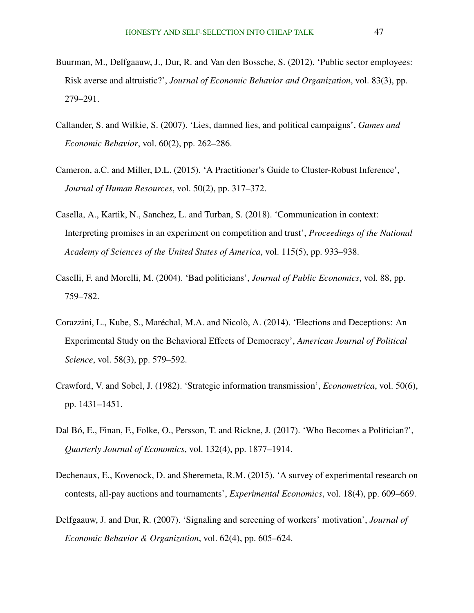- <span id="page-47-0"></span>Buurman, M., Delfgaauw, J., Dur, R. and Van den Bossche, S. (2012). 'Public sector employees: Risk averse and altruistic?', *Journal of Economic Behavior and Organization*, vol. 83(3), pp. 279–291.
- Callander, S. and Wilkie, S. (2007). 'Lies, damned lies, and political campaigns', *Games and Economic Behavior*, vol. 60(2), pp. 262–286.
- Cameron, a.C. and Miller, D.L. (2015). 'A Practitioner's Guide to Cluster-Robust Inference', *Journal of Human Resources*, vol. 50(2), pp. 317–372.
- Casella, A., Kartik, N., Sanchez, L. and Turban, S. (2018). 'Communication in context: Interpreting promises in an experiment on competition and trust', *Proceedings of the National Academy of Sciences of the United States of America*, vol. 115(5), pp. 933–938.
- Caselli, F. and Morelli, M. (2004). 'Bad politicians', *Journal of Public Economics*, vol. 88, pp. 759–782.
- Corazzini, L., Kube, S., Maréchal, M.A. and Nicolò, A. (2014). 'Elections and Deceptions: An Experimental Study on the Behavioral Effects of Democracy', *American Journal of Political Science*, vol. 58(3), pp. 579–592.
- Crawford, V. and Sobel, J. (1982). 'Strategic information transmission', *Econometrica*, vol. 50(6), pp. 1431–1451.
- Dal Bó, E., Finan, F., Folke, O., Persson, T. and Rickne, J. (2017). 'Who Becomes a Politician?', *Quarterly Journal of Economics*, vol. 132(4), pp. 1877–1914.
- Dechenaux, E., Kovenock, D. and Sheremeta, R.M. (2015). 'A survey of experimental research on contests, all-pay auctions and tournaments', *Experimental Economics*, vol. 18(4), pp. 609–669.
- Delfgaauw, J. and Dur, R. (2007). 'Signaling and screening of workers' motivation', *Journal of Economic Behavior & Organization*, vol. 62(4), pp. 605–624.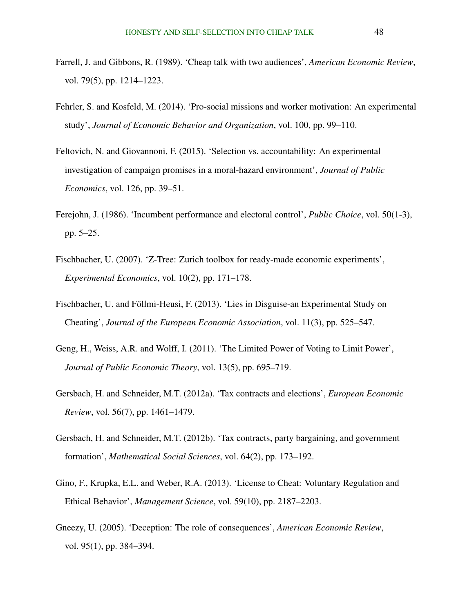- <span id="page-48-0"></span>Farrell, J. and Gibbons, R. (1989). 'Cheap talk with two audiences', *American Economic Review*, vol. 79(5), pp. 1214–1223.
- Fehrler, S. and Kosfeld, M. (2014). 'Pro-social missions and worker motivation: An experimental study', *Journal of Economic Behavior and Organization*, vol. 100, pp. 99–110.
- Feltovich, N. and Giovannoni, F. (2015). 'Selection vs. accountability: An experimental investigation of campaign promises in a moral-hazard environment', *Journal of Public Economics*, vol. 126, pp. 39–51.
- Ferejohn, J. (1986). 'Incumbent performance and electoral control', *Public Choice*, vol. 50(1-3), pp. 5–25.
- Fischbacher, U. (2007). 'Z-Tree: Zurich toolbox for ready-made economic experiments', *Experimental Economics*, vol. 10(2), pp. 171–178.
- Fischbacher, U. and Föllmi-Heusi, F. (2013). 'Lies in Disguise-an Experimental Study on Cheating', *Journal of the European Economic Association*, vol. 11(3), pp. 525–547.
- Geng, H., Weiss, A.R. and Wolff, I. (2011). 'The Limited Power of Voting to Limit Power', *Journal of Public Economic Theory*, vol. 13(5), pp. 695–719.
- Gersbach, H. and Schneider, M.T. (2012a). 'Tax contracts and elections', *European Economic Review*, vol. 56(7), pp. 1461–1479.
- Gersbach, H. and Schneider, M.T. (2012b). 'Tax contracts, party bargaining, and government formation', *Mathematical Social Sciences*, vol. 64(2), pp. 173–192.
- Gino, F., Krupka, E.L. and Weber, R.A. (2013). 'License to Cheat: Voluntary Regulation and Ethical Behavior', *Management Science*, vol. 59(10), pp. 2187–2203.
- Gneezy, U. (2005). 'Deception: The role of consequences', *American Economic Review*, vol. 95(1), pp. 384–394.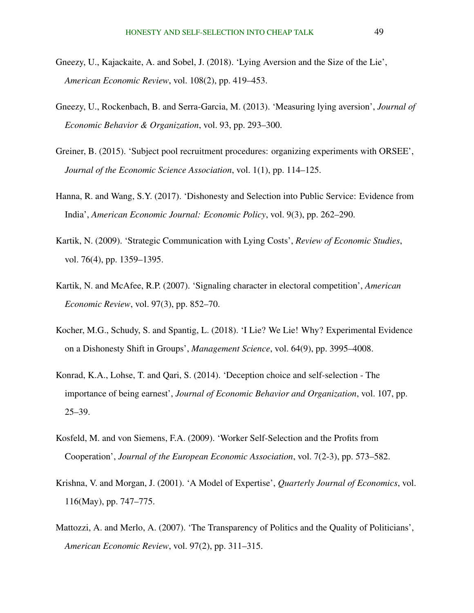- <span id="page-49-0"></span>Gneezy, U., Kajackaite, A. and Sobel, J. (2018). 'Lying Aversion and the Size of the Lie', *American Economic Review*, vol. 108(2), pp. 419–453.
- Gneezy, U., Rockenbach, B. and Serra-Garcia, M. (2013). 'Measuring lying aversion', *Journal of Economic Behavior & Organization*, vol. 93, pp. 293–300.
- Greiner, B. (2015). 'Subject pool recruitment procedures: organizing experiments with ORSEE', *Journal of the Economic Science Association*, vol. 1(1), pp. 114–125.
- Hanna, R. and Wang, S.Y. (2017). 'Dishonesty and Selection into Public Service: Evidence from India', *American Economic Journal: Economic Policy*, vol. 9(3), pp. 262–290.
- Kartik, N. (2009). 'Strategic Communication with Lying Costs', *Review of Economic Studies*, vol. 76(4), pp. 1359–1395.
- Kartik, N. and McAfee, R.P. (2007). 'Signaling character in electoral competition', *American Economic Review*, vol. 97(3), pp. 852–70.
- Kocher, M.G., Schudy, S. and Spantig, L. (2018). 'I Lie? We Lie! Why? Experimental Evidence on a Dishonesty Shift in Groups', *Management Science*, vol. 64(9), pp. 3995–4008.
- Konrad, K.A., Lohse, T. and Qari, S. (2014). 'Deception choice and self-selection The importance of being earnest', *Journal of Economic Behavior and Organization*, vol. 107, pp. 25–39.
- Kosfeld, M. and von Siemens, F.A. (2009). 'Worker Self-Selection and the Profits from Cooperation', *Journal of the European Economic Association*, vol. 7(2-3), pp. 573–582.
- Krishna, V. and Morgan, J. (2001). 'A Model of Expertise', *Quarterly Journal of Economics*, vol. 116(May), pp. 747–775.
- Mattozzi, A. and Merlo, A. (2007). 'The Transparency of Politics and the Quality of Politicians', *American Economic Review*, vol. 97(2), pp. 311–315.